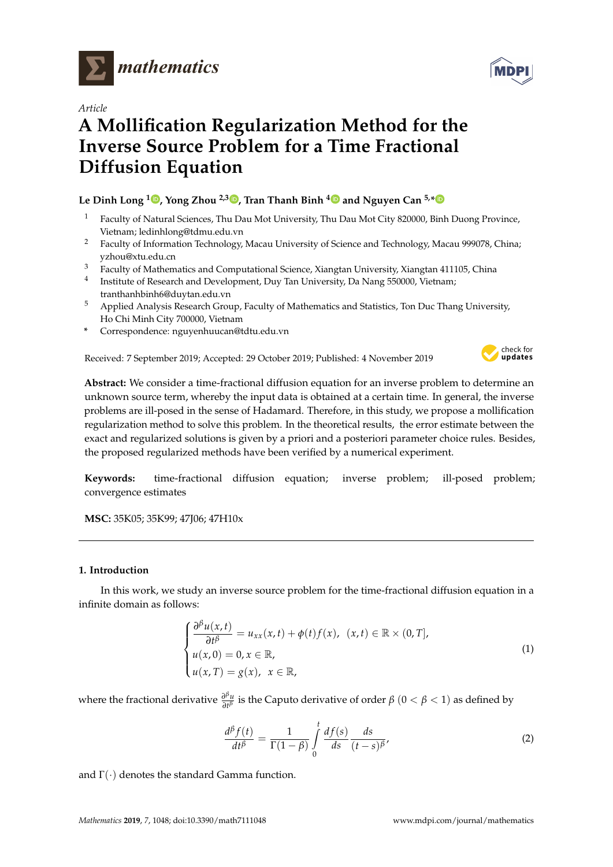

*Article*

# **A Mollification Regularization Method for the Inverse Source Problem for a Time Fractional Diffusion Equation**

**Le Dinh Long [1](https://orcid.org/0000-0001-8805-4588) , Yong Zhou 2,3 [,](https://orcid.org/0000-0002-4099-8077) Tran Thanh Binh [4](https://orcid.org/0000-0003-3592-9808) and Nguyen Can 5,[\\*](https://orcid.org/0000-0001-6198-1015)**

- Faculty of Natural Sciences, Thu Dau Mot University, Thu Dau Mot City 820000, Binh Duong Province, Vietnam; ledinhlong@tdmu.edu.vn
- <sup>2</sup> Faculty of Information Technology, Macau University of Science and Technology, Macau 999078, China; yzhou@xtu.edu.cn
- <sup>3</sup> Faculty of Mathematics and Computational Science, Xiangtan University, Xiangtan 411105, China
- 4 Institute of Research and Development, Duy Tan University, Da Nang 550000, Vietnam; tranthanhbinh6@duytan.edu.vn
- <sup>5</sup> Applied Analysis Research Group, Faculty of Mathematics and Statistics, Ton Duc Thang University, Ho Chi Minh City 700000, Vietnam
- **\*** Correspondence: nguyenhuucan@tdtu.edu.vn

Received: 7 September 2019; Accepted: 29 October 2019; Published: 4 November 2019

<span id="page-0-0"></span>

**Abstract:** We consider a time-fractional diffusion equation for an inverse problem to determine an unknown source term, whereby the input data is obtained at a certain time. In general, the inverse problems are ill-posed in the sense of Hadamard. Therefore, in this study, we propose a mollification regularization method to solve this problem. In the theoretical results, the error estimate between the exact and regularized solutions is given by a priori and a posteriori parameter choice rules. Besides, the proposed regularized methods have been verified by a numerical experiment.

**Keywords:** time-fractional diffusion equation; inverse problem; ill-posed problem; convergence estimates

**MSC:** 35K05; 35K99; 47J06; 47H10x

# **1. Introduction**

In this work, we study an inverse source problem for the time-fractional diffusion equation in a infinite domain as follows:

$$
\begin{cases}\n\frac{\partial^{\beta} u(x,t)}{\partial t^{\beta}} = u_{xx}(x,t) + \phi(t)f(x), & (x,t) \in \mathbb{R} \times (0,T], \\
u(x,0) = 0, x \in \mathbb{R}, \\
u(x,T) = g(x), & x \in \mathbb{R},\n\end{cases}
$$
\n(1)

where the fractional derivative *<sup>∂</sup> βu ∂<sup><i>t*</sup>u is the Caputo derivative of order  $β$   $(0 < β < 1)$  as defined by

$$
\frac{d^{\beta}f(t)}{dt^{\beta}} = \frac{1}{\Gamma(1-\beta)} \int_{0}^{t} \frac{df(s)}{ds} \frac{ds}{(t-s)^{\beta}},
$$
\n(2)

and  $\Gamma(\cdot)$  denotes the standard Gamma function.

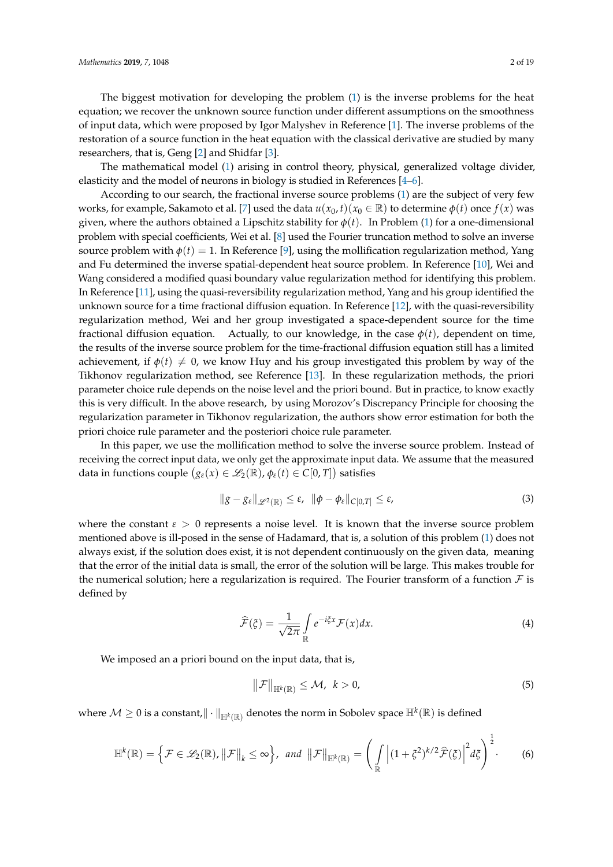The biggest motivation for developing the problem [\(1\)](#page-0-0) is the inverse problems for the heat equation; we recover the unknown source function under different assumptions on the smoothness of input data, which were proposed by Igor Malyshev in Reference [\[1\]](#page-17-0). The inverse problems of the restoration of a source function in the heat equation with the classical derivative are studied by many researchers, that is, Geng [\[2\]](#page-17-1) and Shidfar [\[3\]](#page-17-2).

The mathematical model [\(1\)](#page-0-0) arising in control theory, physical, generalized voltage divider, elasticity and the model of neurons in biology is studied in References [\[4](#page-17-3)[–6\]](#page-17-4).

According to our search, the fractional inverse source problems [\(1\)](#page-0-0) are the subject of very few works, for example, Sakamoto et al. [\[7\]](#page-17-5) used the data  $u(x_0, t)(x_0 \in \mathbb{R})$  to determine  $\phi(t)$  once  $f(x)$  was given, where the authors obtained a Lipschitz stability for  $\phi(t)$ . In Problem [\(1\)](#page-0-0) for a one-dimensional problem with special coefficients, Wei et al. [\[8\]](#page-17-6) used the Fourier truncation method to solve an inverse source problem with  $\phi(t) = 1$ . In Reference [\[9\]](#page-17-7), using the mollification regularization method, Yang and Fu determined the inverse spatial-dependent heat source problem. In Reference [\[10\]](#page-17-8), Wei and Wang considered a modified quasi boundary value regularization method for identifying this problem. In Reference [\[11\]](#page-18-0), using the quasi-reversibility regularization method, Yang and his group identified the unknown source for a time fractional diffusion equation. In Reference [\[12\]](#page-18-1), with the quasi-reversibility regularization method, Wei and her group investigated a space-dependent source for the time fractional diffusion equation. Actually, to our knowledge, in the case  $\phi(t)$ , dependent on time, the results of the inverse source problem for the time-fractional diffusion equation still has a limited achievement, if  $\phi(t) \neq 0$ , we know Huy and his group investigated this problem by way of the Tikhonov regularization method, see Reference [\[13\]](#page-18-2). In these regularization methods, the priori parameter choice rule depends on the noise level and the priori bound. But in practice, to know exactly this is very difficult. In the above research, by using Morozov's Discrepancy Principle for choosing the regularization parameter in Tikhonov regularization, the authors show error estimation for both the priori choice rule parameter and the posteriori choice rule parameter.

In this paper, we use the mollification method to solve the inverse source problem. Instead of receiving the correct input data, we only get the approximate input data. We assume that the measured data in functions couple  $(g_{\varepsilon}(x) \in \mathscr{L}_2(\mathbb{R}), \phi_{\varepsilon}(t) \in C[0,T])$  satisfies

$$
\|g - g_{\varepsilon}\|_{\mathscr{L}^2(\mathbb{R})} \leq \varepsilon, \ \|\phi - \phi_{\varepsilon}\|_{C[0,T]} \leq \varepsilon,
$$
\n(3)

where the constant  $\epsilon > 0$  represents a noise level. It is known that the inverse source problem mentioned above is ill-posed in the sense of Hadamard, that is, a solution of this problem [\(1\)](#page-0-0) does not always exist, if the solution does exist, it is not dependent continuously on the given data, meaning that the error of the initial data is small, the error of the solution will be large. This makes trouble for the numerical solution; here a regularization is required. The Fourier transform of a function  $\mathcal F$  is defined by

$$
\widehat{\mathcal{F}}(\xi) = \frac{1}{\sqrt{2\pi}} \int_{\mathbb{R}} e^{-i\xi x} \mathcal{F}(x) dx.
$$
 (4)

We imposed an a priori bound on the input data, that is,

<span id="page-1-0"></span>
$$
\|\mathcal{F}\|_{\mathbb{H}^k(\mathbb{R})}\leq \mathcal{M},\ \ k>0,\tag{5}
$$

where  $\mathcal{M}\geq 0$  is a constant, $\|\cdot\|_{\mathbb{H}^k(\mathbb{R})}$  denotes the norm in Sobolev space  $\mathbb{H}^k(\mathbb{R})$  is defined

$$
\mathbb{H}^{k}(\mathbb{R}) = \left\{ \mathcal{F} \in \mathscr{L}_{2}(\mathbb{R}), \left\| \mathcal{F} \right\|_{k} \leq \infty \right\}, \text{ and } \left\| \mathcal{F} \right\|_{\mathbb{H}^{k}(\mathbb{R})} = \left( \int_{\mathbb{R}} \left| (1 + \xi^{2})^{k/2} \widehat{\mathcal{F}}(\xi) \right|^{2} d\xi \right)^{\frac{1}{2}}. \tag{6}
$$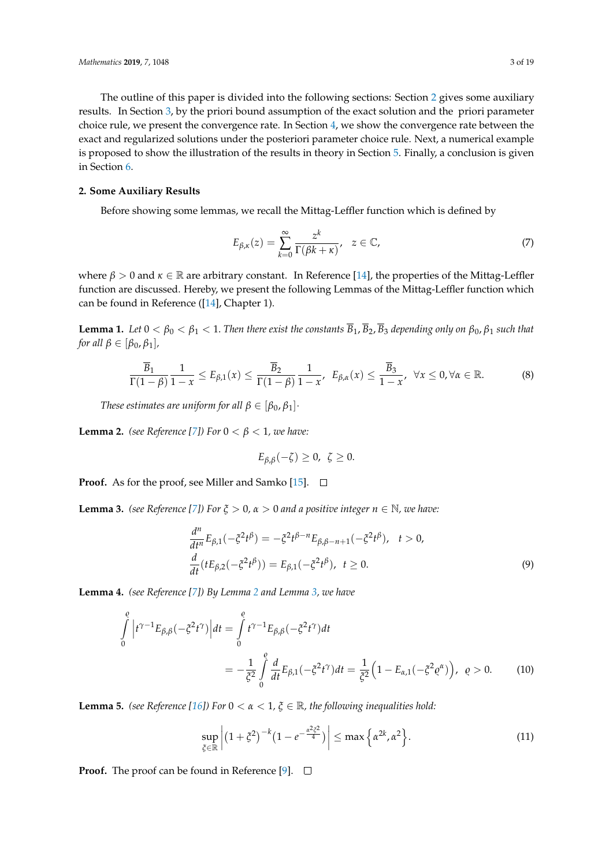The outline of this paper is divided into the following sections: Section [2](#page-2-0) gives some auxiliary results. In Section [3,](#page-3-0) by the priori bound assumption of the exact solution and the priori parameter choice rule, we present the convergence rate. In Section [4,](#page-8-0) we show the convergence rate between the exact and regularized solutions under the posteriori parameter choice rule. Next, a numerical example is proposed to show the illustration of the results in theory in Section [5.](#page-14-0) Finally, a conclusion is given in Section [6.](#page-17-9)

### <span id="page-2-0"></span>**2. Some Auxiliary Results**

Before showing some lemmas, we recall the Mittag-Leffler function which is defined by

$$
E_{\beta,\kappa}(z) = \sum_{k=0}^{\infty} \frac{z^k}{\Gamma(\beta k + \kappa)}, \quad z \in \mathbb{C},
$$
\n(7)

where  $\beta > 0$  and  $\kappa \in \mathbb{R}$  are arbitrary constant. In Reference [\[14\]](#page-18-3), the properties of the Mittag-Leffler function are discussed. Hereby, we present the following Lemmas of the Mittag-Leffler function which can be found in Reference ([\[14\]](#page-18-3), Chapter 1).

**Lemma 1.** Let  $0 < \beta_0 < \beta_1 < 1$ . Then there exist the constants  $\overline{B}_1$ ,  $\overline{B}_2$ ,  $\overline{B}_3$  depending only on  $\beta_0$ ,  $\beta_1$  such that *for all*  $\beta \in [\beta_0, \beta_1]$ *,* 

$$
\frac{\overline{B}_1}{\Gamma(1-\beta)}\frac{1}{1-x} \le E_{\beta,1}(x) \le \frac{\overline{B}_2}{\Gamma(1-\beta)}\frac{1}{1-x}, \ \ E_{\beta,\alpha}(x) \le \frac{\overline{B}_3}{1-x}, \ \ \forall x \le 0, \forall \alpha \in \mathbb{R}.\tag{8}
$$

*These estimates are uniform for all*  $\beta \in [\beta_0, \beta_1]$ *·* 

<span id="page-2-1"></span>**Lemma 2.** *(see Reference [\[7\]](#page-17-5)) For*  $0 < \beta < 1$ *, we have:* 

$$
E_{\beta,\beta}(-\zeta)\geq 0, \ \zeta\geq 0.
$$

**Proof.** As for the proof, see Miller and Samko [\[15\]](#page-18-4).  $\Box$ 

<span id="page-2-2"></span>**Lemma 3.** *(see Reference [\[7\]](#page-17-5)) For*  $\xi > 0$ ,  $\alpha > 0$  *and a positive integer*  $n \in \mathbb{N}$ *, we have:* 

$$
\frac{d^n}{dt^n} E_{\beta,1}(-\xi^2 t^{\beta}) = -\xi^2 t^{\beta - n} E_{\beta,\beta - n + 1}(-\xi^2 t^{\beta}), \quad t > 0,
$$
  

$$
\frac{d}{dt} (t E_{\beta,2}(-\xi^2 t^{\beta})) = E_{\beta,1}(-\xi^2 t^{\beta}), \quad t \ge 0.
$$
 (9)

<span id="page-2-3"></span>**Lemma 4.** *(see Reference [\[7\]](#page-17-5)) By Lemma [2](#page-2-1) and Lemma [3,](#page-2-2) we have*

$$
\int_{0}^{e} \left| t^{\gamma - 1} E_{\beta, \beta}(-\xi^{2} t^{\gamma}) \right| dt = \int_{0}^{e} t^{\gamma - 1} E_{\beta, \beta}(-\xi^{2} t^{\gamma}) dt
$$
\n
$$
= -\frac{1}{\xi^{2}} \int_{0}^{e} \frac{d}{dt} E_{\beta, 1}(-\xi^{2} t^{\gamma}) dt = \frac{1}{\xi^{2}} \left( 1 - E_{\alpha, 1}(-\xi^{2} e^{\alpha}) \right), \quad \rho > 0. \tag{10}
$$

**Lemma 5.** *(see Reference [\[16\]](#page-18-5)) For*  $0 < \alpha < 1$ ,  $\xi \in \mathbb{R}$ , the following inequalities hold:

$$
\sup_{\xi \in \mathbb{R}} \left| \left( 1 + \xi^2 \right)^{-k} \left( 1 - e^{-\frac{\alpha^2 \xi^2}{4}} \right) \right| \le \max \left\{ \alpha^{2k}, \alpha^2 \right\}.
$$
\n(11)

**Proof.** The proof can be found in Reference [\[9\]](#page-17-7).  $\Box$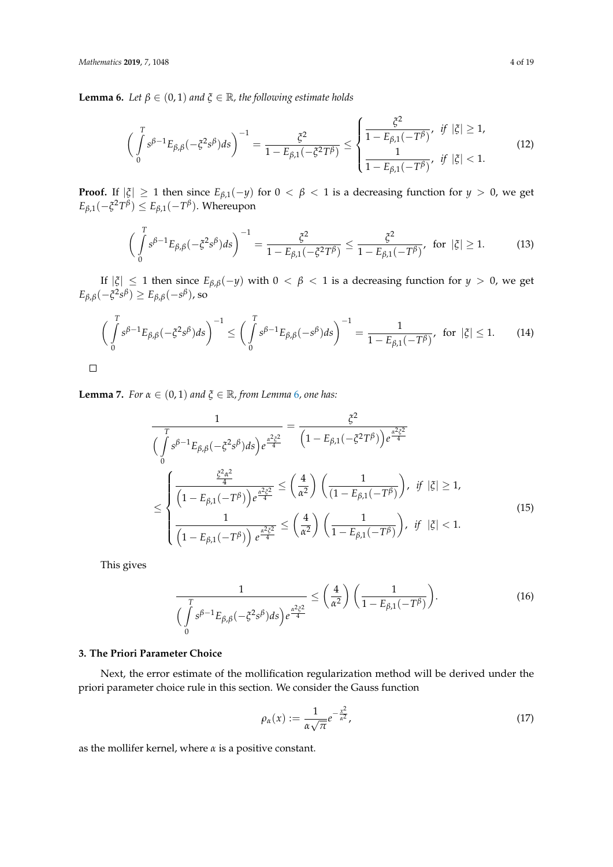<span id="page-3-1"></span>**Lemma 6.** *Let*  $\beta \in (0,1)$  *and*  $\xi \in \mathbb{R}$ *, the following estimate holds* 

$$
\left(\int_{0}^{T} s^{\beta-1} E_{\beta,\beta}(-\xi^2 s^{\beta}) ds\right)^{-1} = \frac{\xi^2}{1 - E_{\beta,1}(-\xi^2 T^{\beta})} \le \begin{cases} \frac{\xi^2}{1 - E_{\beta,1}(-T^{\beta})}, & \text{if } |\xi| \ge 1, \\ \frac{1}{1 - E_{\beta,1}(-T^{\beta})}, & \text{if } |\xi| < 1. \end{cases}
$$
(12)

**Proof.** If  $|\xi| \ge 1$  then since  $E_{\beta,1}(-y)$  for  $0 < \beta < 1$  is a decreasing function for  $y > 0$ , we get  $E_{\beta,1}(-\xi^2 T^{\beta}) \leq E_{\beta,1}(-T^{\beta}).$  Whereupon

$$
\left(\int_{0}^{T} s^{\beta-1} E_{\beta,\beta}(-\xi^{2} s^{\beta}) ds\right)^{-1} = \frac{\xi^{2}}{1 - E_{\beta,1}(-\xi^{2} T^{\beta})} \le \frac{\xi^{2}}{1 - E_{\beta,1}(-T^{\beta})}, \text{ for } |\xi| \ge 1.
$$
 (13)

If  $|\xi| \leq 1$  then since  $E_{\beta,\beta}(-y)$  with  $0 < \beta < 1$  is a decreasing function for  $y > 0$ , we get  $E_{\beta,\beta}(-\xi^2 s^{\beta}) \ge E_{\beta,\beta}(-s^{\beta}),$  so

$$
\left(\int_{0}^{T} s^{\beta-1} E_{\beta,\beta}(-\xi^2 s^{\beta}) ds\right)^{-1} \le \left(\int_{0}^{T} s^{\beta-1} E_{\beta,\beta}(-s^{\beta}) ds\right)^{-1} = \frac{1}{1 - E_{\beta,1}(-T^{\beta})}, \text{ for } |\xi| \le 1. \tag{14}
$$

<span id="page-3-2"></span>**Lemma 7.** *For*  $\alpha \in (0,1)$  *and*  $\xi \in \mathbb{R}$ *, from Lemma [6](#page-3-1), one has:* 

$$
\frac{1}{\left(\int_{0}^{T} s^{\beta-1} E_{\beta,\beta}(-\xi^{2} s^{\beta}) ds\right) e^{\frac{\alpha^{2} \xi^{2}}{4}}} = \frac{\xi^{2}}{\left(1 - E_{\beta,1}(-\xi^{2} T^{\beta})\right) e^{\frac{\alpha^{2} \xi^{2}}{4}}}
$$
\n
$$
\leq \begin{cases}\n\frac{\xi^{2} \alpha^{2}}{\left(1 - E_{\beta,1}(-T^{\beta})\right) e^{\frac{\alpha^{2} \xi^{2}}{4}}} \leq \left(\frac{4}{\alpha^{2}}\right) \left(\frac{1}{\left(1 - E_{\beta,1}(-T^{\beta})\right)}, \text{ if } |\xi| \geq 1, \\
\frac{1}{\left(1 - E_{\beta,1}(-T^{\beta})\right) e^{\frac{\alpha^{2} \xi^{2}}{4}}} \leq \left(\frac{4}{\alpha^{2}}\right) \left(\frac{1}{1 - E_{\beta,1}(-T^{\beta})}\right), \text{ if } |\xi| < 1.\n\end{cases}
$$
\n(15)

This gives

$$
\frac{1}{\left(\int\limits_{0}^{T} s^{\beta-1} E_{\beta,\beta}(-\zeta^2 s^{\beta}) ds\right) e^{\frac{\alpha^2 \zeta^2}{4}}} \leq \left(\frac{4}{\alpha^2}\right) \left(\frac{1}{1 - E_{\beta,1}(-T^{\beta})}\right).
$$
(16)

#### <span id="page-3-0"></span>**3. The Priori Parameter Choice**

Next, the error estimate of the mollification regularization method will be derived under the priori parameter choice rule in this section. We consider the Gauss function

$$
\rho_{\alpha}(x) := \frac{1}{\alpha \sqrt{\pi}} e^{-\frac{x^2}{\alpha^2}},\tag{17}
$$

as the mollifer kernel, where *α* is a positive constant.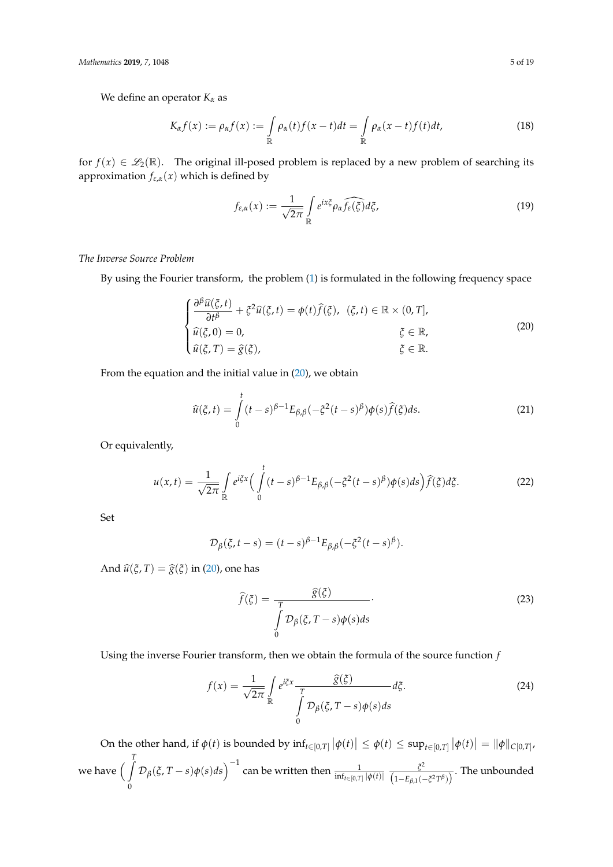We define an operator *K<sup>α</sup>* as

$$
K_{\alpha}f(x) := \rho_{\alpha}f(x) := \int_{\mathbb{R}} \rho_{\alpha}(t)f(x-t)dt = \int_{\mathbb{R}} \rho_{\alpha}(x-t)f(t)dt,
$$
\n(18)

for  $f(x) \in \mathcal{L}_2(\mathbb{R})$ . The original ill-posed problem is replaced by a new problem of searching its approximation  $f_{\varepsilon,\alpha}(x)$  which is defined by

<span id="page-4-1"></span><span id="page-4-0"></span>
$$
f_{\varepsilon,\alpha}(x) := \frac{1}{\sqrt{2\pi}} \int\limits_{\mathbb{R}} e^{ix\xi} \rho_\alpha \widehat{f_{\varepsilon}(\xi)} d\xi, \tag{19}
$$

*The Inverse Source Problem*

By using the Fourier transform, the problem [\(1\)](#page-0-0) is formulated in the following frequency space

$$
\begin{cases}\n\frac{\partial^{\beta}\widehat{u}(\xi,t)}{\partial t^{\beta}} + \xi^{2}\widehat{u}(\xi,t) = \phi(t)\widehat{f}(\xi), & (\xi,t) \in \mathbb{R} \times (0,T], \\
\widehat{u}(\xi,0) = 0, & \xi \in \mathbb{R}, \\
\widehat{u}(\xi,T) = \widehat{g}(\xi), & \xi \in \mathbb{R}.\n\end{cases}
$$
\n(20)

From the equation and the initial value in  $(20)$ , we obtain

$$
\widehat{u}(\xi,t) = \int_{0}^{t} (t-s)^{\beta-1} E_{\beta,\beta}(-\xi^2(t-s)^{\beta}) \phi(s) \widehat{f}(\xi) ds.
$$
\n(21)

Or equivalently,

$$
u(x,t) = \frac{1}{\sqrt{2\pi}} \int_{\mathbb{R}} e^{i\xi x} \Big( \int_{0}^{t} (t-s)^{\beta-1} E_{\beta,\beta}(-\xi^{2}(t-s)^{\beta}) \phi(s) ds \Big) \widehat{f}(\xi) d\xi.
$$
 (22)

Set

$$
\mathcal{D}_{\beta}(\xi, t-s) = (t-s)^{\beta-1} E_{\beta,\beta}(-\xi^2(t-s)^{\beta}).
$$

And  $\hat{u}(\xi, T) = \hat{g}(\xi)$  in [\(20\)](#page-4-0), one has

<span id="page-4-2"></span>
$$
\widehat{f}(\xi) = \frac{\widehat{g}(\xi)}{\int_{0}^{T} \mathcal{D}_{\beta}(\xi, T - s) \phi(s) ds}.
$$
\n(23)

Using the inverse Fourier transform, then we obtain the formula of the source function *f*

$$
f(x) = \frac{1}{\sqrt{2\pi}} \int_{\mathbb{R}} e^{i\xi x} \frac{\widehat{g}(\xi)}{\int_{0}^{T} \mathcal{D}_{\beta}(\xi, T - s) \phi(s) ds} d\xi.
$$
 (24)

On the other hand, if  $\phi(t)$  is bounded by  $\inf_{t\in[0,T]}|\phi(t)| \leq \phi(t) \leq \sup_{t\in[0,T]}|\phi(t)| = |\phi||_{C[0,T]}$ , we have  $\int\limits_0^T$ 0  $\mathcal{D}_{\beta}(\xi, T-s)\phi(s)ds\Big)^{-1}$  can be written then  $\frac{1}{\inf_{t\in[0,T]}\vert\phi(t)\vert} \frac{\xi^2}{(1-E_{\beta,1}(\cdot))^{2}}$  $\frac{6}{(1-E_{\beta,1}(-\xi^2T^\beta))}$ . The unbounded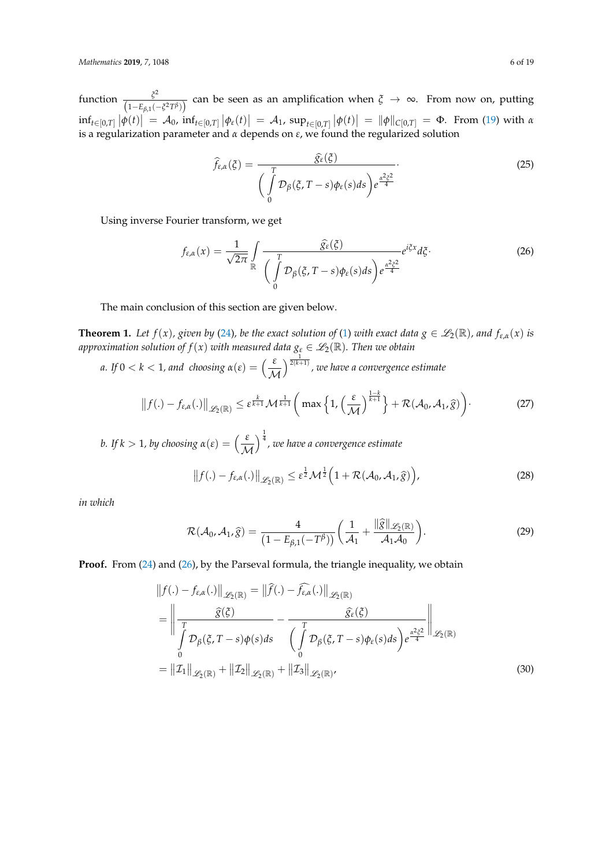function  $\frac{\xi^2}{\sqrt{2\pi}}$  $\frac{f^2}{(1-E_{\beta,1}(-\xi^2T^\beta))}$  can be seen as an amplification when  $\xi \to \infty$ . From now on, putting  $\inf_{t\in[0,T]}|\phi(t)| = A_0$ ,  $\inf_{t\in[0,T]}|\phi_{\varepsilon}(t)| = A_1$ ,  $\sup_{t\in[0,T]}|\phi(t)| = ||\phi||_{C[0,T]} = \Phi$ . From [\(19\)](#page-4-1) with a is a regularization parameter and *α* depends on *ε*, we found the regularized solution

<span id="page-5-0"></span>
$$
\widehat{f}_{\varepsilon,\alpha}(\xi) = \frac{\widehat{g}_{\varepsilon}(\xi)}{\left(\int\limits_{0}^{T} \mathcal{D}_{\beta}(\xi, T-s) \phi_{\varepsilon}(s) ds\right) e^{\frac{\alpha^2 \xi^2}{4}}}.
$$
\n(25)

Using inverse Fourier transform, we get

$$
f_{\varepsilon,\alpha}(x) = \frac{1}{\sqrt{2\pi}} \int\limits_{\mathbb{R}} \frac{\widehat{g}_{\varepsilon}(\xi)}{\left(\int\limits_{0}^{T} \mathcal{D}_{\beta}(\xi, T-s) \phi_{\varepsilon}(s) ds\right) e^{\frac{\alpha^{2} \xi^{2}}{4}}} e^{i\xi x} d\xi.
$$
 (26)

The main conclusion of this section are given below.

**Theorem 1.** Let  $f(x)$ , given by [\(24\)](#page-4-2), be the exact solution of [\(1\)](#page-0-0) with exact data  $g \in \mathscr{L}_2(\mathbb{R})$ , and  $f_{\varepsilon,\alpha}(x)$  is *approximation solution of*  $f(x)$  *with measured data*  $g_{\epsilon} \in \mathscr{L}_2(\mathbb{R})$ *. Then we obtain* 

*a. If*  $0 < k < 1$ *, and choosing*  $\alpha(\varepsilon) = \left(\frac{\varepsilon}{\mathcal{M}}\right)$ <sup>1</sup> 2(*k*+1) *, we have a convergence estimate*

$$
\|f(.) - f_{\varepsilon,\alpha}(.)\|_{\mathscr{L}_2(\mathbb{R})} \leq \varepsilon^{\frac{k}{k+1}} \mathcal{M}^{\frac{1}{k+1}} \bigg( \max\Big\{ 1, \Big(\frac{\varepsilon}{\mathcal{M}}\Big)^{\frac{1-k}{k+1}} \Big\} + \mathcal{R}(\mathcal{A}_0, \mathcal{A}_1, \widehat{g}) \bigg). \tag{27}
$$

*b.* If  $k > 1$ , by choosing  $\alpha(\varepsilon) = \left(\frac{\varepsilon}{\mathcal{M}}\right)$ 1 4 *, we have a convergence estimate*

$$
\|f(.) - f_{\varepsilon,\alpha}(.)\|_{\mathscr{L}_2(\mathbb{R})} \le \varepsilon^{\frac{1}{2}} \mathcal{M}^{\frac{1}{2}} \left(1 + \mathcal{R}(\mathcal{A}_0, \mathcal{A}_1, \widehat{g})\right),\tag{28}
$$

*in which*

$$
\mathcal{R}(\mathcal{A}_0,\mathcal{A}_1,\widehat{g})=\frac{4}{\left(1-E_{\beta,1}(-T^{\beta})\right)}\left(\frac{1}{\mathcal{A}_1}+\frac{\|\widehat{g}\|_{\mathscr{L}_2(\mathbb{R})}}{\mathcal{A}_1\mathcal{A}_0}\right).
$$
\n(29)

**Proof.** From [\(24\)](#page-4-2) and [\(26\)](#page-5-0), by the Parseval formula, the triangle inequality, we obtain

$$
||f(.) - f_{\varepsilon,\alpha}(.)||_{\mathscr{L}_{2}(\mathbb{R})} = ||\widehat{f}(.) - \widehat{f}_{\varepsilon,\alpha}(.)||_{\mathscr{L}_{2}(\mathbb{R})}
$$
  
\n
$$
= \left\| \frac{\widehat{g}(\xi)}{\int_{0}^{T} \mathcal{D}_{\beta}(\xi, T - s) \phi(s) ds} - \frac{\widehat{g}_{\varepsilon}(\xi)}{\left(\int_{0}^{T} \mathcal{D}_{\beta}(\xi, T - s) \phi_{\varepsilon}(s) ds\right) e^{\frac{\alpha^{2} \xi^{2}}{4}}}\right\|_{\mathscr{L}_{2}(\mathbb{R})}
$$
  
\n
$$
= ||\mathcal{I}_{1}||_{\mathscr{L}_{2}(\mathbb{R})} + ||\mathcal{I}_{2}||_{\mathscr{L}_{2}(\mathbb{R})} + ||\mathcal{I}_{3}||_{\mathscr{L}_{2}(\mathbb{R})}, \tag{30}
$$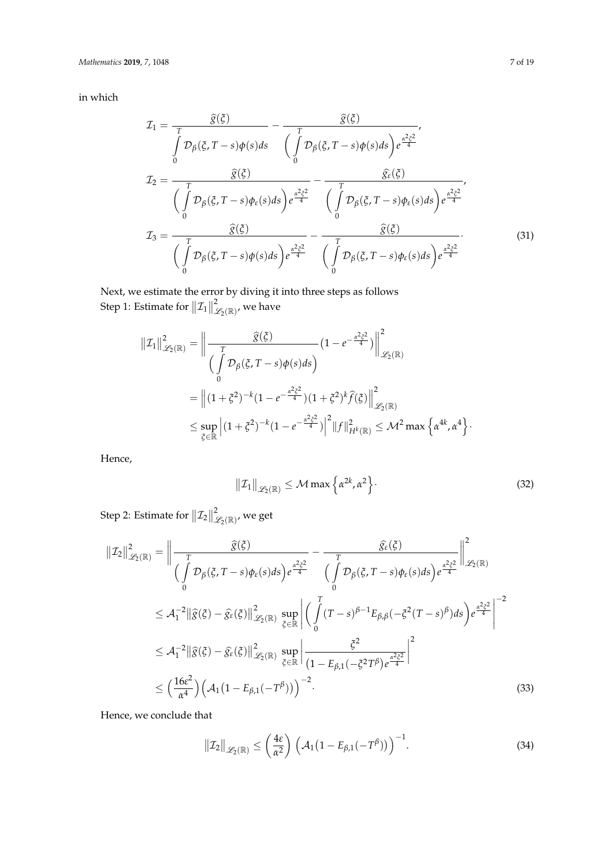in which

$$
\mathcal{I}_{1} = \frac{\widehat{g}(\xi)}{\int_{0}^{T} \mathcal{D}_{\beta}(\xi, T - s) \phi(s) ds} - \frac{\widehat{g}(\xi)}{\int_{0}^{T} \mathcal{D}_{\beta}(\xi, T - s) \phi(s) ds} \frac{\widehat{e}^{2} \xi^{2}}{\left(\int_{0}^{T} \mathcal{D}_{\beta}(\xi, T - s) \phi(s) ds\right) e^{\frac{\alpha^{2} \xi^{2}}{4}}}{\left(\int_{0}^{T} \mathcal{D}_{\beta}(\xi, T - s) \phi_{\epsilon}(s) ds\right) e^{\frac{\alpha^{2} \xi^{2}}{4}}} - \frac{\widehat{g}(\xi)}{\int_{0}^{T} \mathcal{D}_{\beta}(\xi, T - s) \phi_{\epsilon}(s) ds} \frac{\widehat{e}^{2} \xi^{2}}{\left(\int_{0}^{T} \mathcal{D}_{\beta}(\xi, T - s) \phi_{\epsilon}(s) ds\right) e^{\frac{\alpha^{2} \xi^{2}}{4}}}{\left(\int_{0}^{T} \mathcal{D}_{\beta}(\xi, T - s) \phi_{\epsilon}(s) ds\right) e^{\frac{\alpha^{2} \xi^{2}}{4}}}
$$
\n(31)

Next, we estimate the error by diving it into three steps as follows Step 1: Estimate for  $||\mathcal{I}_1||$  $^{\mathcal{2}}\mathscr{L}_{\mathcal{2}}(\mathbb{R})^{\prime}$  we have

$$
\begin{split} \left\| \mathcal{I}_{1} \right\|_{\mathscr{L}_{2}(\mathbb{R})}^{2} &= \left\| \frac{\widehat{g}(\xi)}{\int_{0}^{T} \mathcal{D}_{\beta}(\xi, T - s) \phi(s) ds} \right) \left( 1 - e^{-\frac{\alpha^{2} \xi^{2}}{4}} \right) \right\|_{\mathscr{L}_{2}(\mathbb{R})}^{2} \\ &= \left\| (1 + \xi^{2})^{-k} (1 - e^{-\frac{\alpha^{2} \xi^{2}}{4}}) (1 + \xi^{2})^{k} \widehat{f}(\xi) \right\|_{\mathscr{L}_{2}(\mathbb{R})}^{2} \\ &\leq \sup_{\xi \in \mathbb{R}} \left| (1 + \xi^{2})^{-k} (1 - e^{-\frac{\alpha^{2} \xi^{2}}{4}}) \right|^{2} \left\| f \right\|_{H^{k}(\mathbb{R})}^{2} \leq \mathcal{M}^{2} \max \left\{ \alpha^{4k}, \alpha^{4} \right\}. \end{split}
$$

Hence,

<span id="page-6-0"></span>
$$
\|\mathcal{I}_1\|_{\mathscr{L}_2(\mathbb{R})} \le \mathcal{M} \max \left\{ \alpha^{2k}, \alpha^2 \right\}.
$$
 (32)

Step 2: Estimate for  $||\mathcal{I}_2||$  $^2_{\mathscr{L}_2(\mathbb{R})'}$  we get

$$
\| \mathcal{I}_{2} \|_{\mathscr{L}_{2}(\mathbb{R})}^{2} = \left\| \frac{\widehat{g}(\xi)}{\int_{0}^{T} \mathcal{D}_{\beta}(\xi, T - s) \phi_{\varepsilon}(s) ds} \right) e^{\frac{\alpha^{2} \xi^{2}}{4}} - \frac{\widehat{g}_{\varepsilon}(\xi)}{\int_{0}^{T} \mathcal{D}_{\beta}(\xi, T - s) \phi_{\varepsilon}(s) ds} \Big| e^{\frac{\alpha^{2} \xi^{2}}{4}} \Big|_{\mathscr{L}_{2}(\mathbb{R})}^{2}
$$
  
\n
$$
\leq \mathcal{A}_{1}^{-2} \| \widehat{g}(\xi) - \widehat{g}_{\varepsilon}(\xi) \|_{\mathscr{L}_{2}(\mathbb{R})}^{2} \sup_{\xi \in \mathbb{R}} \left| \left( \int_{0}^{T} (T - s)^{\beta - 1} E_{\beta, \beta}(-\xi^{2} (T - s)^{\beta}) ds \right) e^{\frac{\alpha^{2} \xi^{2}}{4}} \right|^{-2}
$$
  
\n
$$
\leq \mathcal{A}_{1}^{-2} \| \widehat{g}(\xi) - \widehat{g}_{\varepsilon}(\xi) \|_{\mathscr{L}_{2}(\mathbb{R})}^{2} \sup_{\xi \in \mathbb{R}} \left| \frac{\xi^{2}}{(1 - E_{\beta, 1}(-\xi^{2} T^{\beta}) e^{\frac{\alpha^{2} \xi^{2}}{4}} \right|^{2}
$$
  
\n
$$
\leq \left( \frac{16 \varepsilon^{2}}{\alpha^{4}} \right) \left( \mathcal{A}_{1} (1 - E_{\beta, 1}(-T^{\beta})) \right)^{-2}.
$$
\n(33)

Hence, we conclude that

<span id="page-6-1"></span>
$$
\|\mathcal{I}_2\|_{\mathscr{L}_2(\mathbb{R})} \le \left(\frac{4\varepsilon}{\alpha^2}\right) \left(\mathcal{A}_1(1 - E_{\beta,1}(-T^\beta))\right)^{-1}.\tag{34}
$$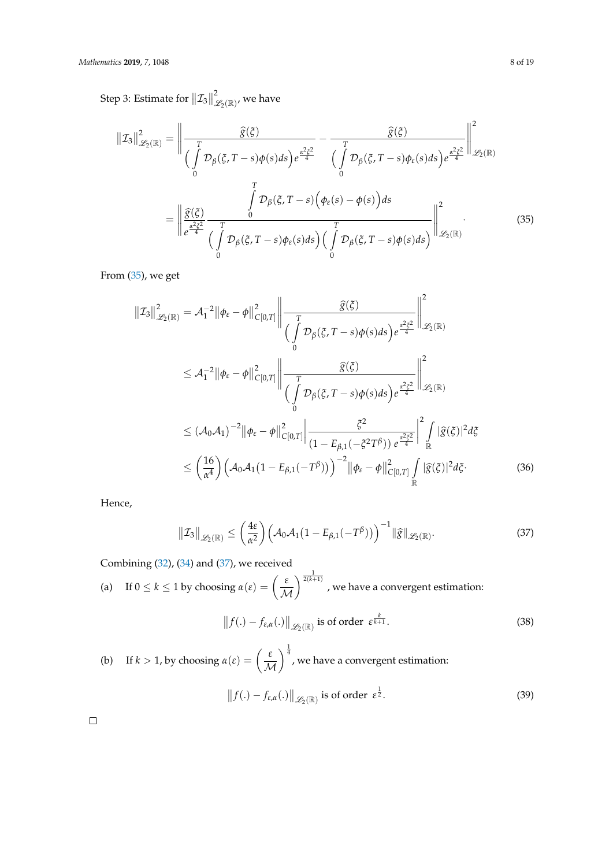Step 3: Estimate for  $||\mathcal{I}_3||$  $^2_{\mathscr{L}_2(\mathbb{R})'}$  we have

$$
\|\mathcal{I}_{3}\|_{\mathscr{L}_{2}(\mathbb{R})}^{2} = \left\|\frac{\widehat{g}(\xi)}{\int_{0}^{T} \mathcal{D}_{\beta}(\xi, T-s) \phi(s) ds} \right) e^{\frac{\alpha^{2} \xi^{2}}{4}} - \frac{\widehat{g}(\xi)}{\int_{0}^{T} \mathcal{D}_{\beta}(\xi, T-s) \phi_{\varepsilon}(s) ds} e^{\frac{\alpha^{2} \xi^{2}}{4}} \left\|\mathcal{L}_{2}(\mathbb{R})\right\|_{\mathscr{L}_{2}(\mathbb{R})}^{2}
$$
\n
$$
= \left\|\frac{\widehat{g}(\xi)}{e^{\frac{\alpha^{2} \xi^{2}}{4}}} \frac{\int_{0}^{T} \mathcal{D}_{\beta}(\xi, T-s) \left(\phi_{\varepsilon}(s) - \phi(s)\right) ds}{\int_{0}^{T} \mathcal{D}_{\beta}(\xi, T-s) \phi_{\varepsilon}(s) ds} \right\|_{\mathscr{L}_{2}(\mathbb{R})}^{2} \tag{35}
$$

From [\(35\)](#page-7-0), we get

<span id="page-7-0"></span>
$$
\begin{split}\n\|Z_{3}\|_{\mathscr{L}_{2}(\mathbb{R})}^{2} &= \mathcal{A}_{1}^{-2} \|\phi_{\varepsilon} - \phi\|_{C[0,T]}^{2} \left\| \frac{\widehat{g}(\xi)}{\int_{0}^{T} \mathcal{D}_{\beta}(\xi, T - s) \phi(s) ds} \right) e^{\frac{\alpha^{2} \xi^{2}}{4}} \right\|_{\mathscr{L}_{2}(\mathbb{R})}^{2} \\
&\leq \mathcal{A}_{1}^{-2} \|\phi_{\varepsilon} - \phi\|_{C[0,T]}^{2} \left\| \frac{\widehat{g}(\xi)}{\int_{0}^{T} \mathcal{D}_{\beta}(\xi, T - s) \phi(s) ds} \right) e^{\frac{\alpha^{2} \xi^{2}}{4}} \right\|_{\mathscr{L}_{2}(\mathbb{R})}^{2} \\
&\leq (\mathcal{A}_{0} \mathcal{A}_{1})^{-2} \|\phi_{\varepsilon} - \phi\|_{C[0,T]}^{2} \left\| \frac{\xi^{2}}{(1 - E_{\beta,1}(-\xi^{2}T^{\beta})) e^{\frac{\alpha^{2} \xi^{2}}{4}} \right\|_{\mathbb{R}}^{2} \|\widehat{g}(\xi)|^{2} d\xi \\
&\leq \left(\frac{16}{\alpha^{4}}\right) \left(\mathcal{A}_{0} \mathcal{A}_{1} (1 - E_{\beta,1}(-T^{\beta}))\right)^{-2} \|\phi_{\varepsilon} - \phi\|_{C[0,T]}^{2} \int_{\mathbb{R}} |\widehat{g}(\xi)|^{2} d\xi. \tag{36}\n\end{split}
$$

Hence,

$$
\|\mathcal{I}_3\|_{\mathscr{L}_2(\mathbb{R})} \le \left(\frac{4\varepsilon}{\alpha^2}\right) \left(\mathcal{A}_0 \mathcal{A}_1 (1 - E_{\beta,1}(-T^\beta))\right)^{-1} \|\widehat{g}\|_{\mathscr{L}_2(\mathbb{R})}.
$$
 (37)

Combining [\(32\)](#page-6-0), [\(34\)](#page-6-1) and [\(37\)](#page-7-1), we received

(a) If 
$$
0 \le k \le 1
$$
 by choosing  $\alpha(\varepsilon) = \left(\frac{\varepsilon}{\mathcal{M}}\right)^{\frac{1}{2(k+1)}}$ , we have a convergent estimation:

<span id="page-7-1"></span>
$$
\|f(.) - f_{\varepsilon,\alpha}(.)\|_{\mathscr{L}_2(\mathbb{R})} \text{ is of order } \varepsilon^{\frac{k}{k+1}}.
$$
 (38)

(b) If 
$$
k > 1
$$
, by choosing  $\alpha(\varepsilon) = \left(\frac{\varepsilon}{\mathcal{M}}\right)^{\frac{1}{4}}$ , we have a convergent estimation:  
\n
$$
||f(.) - f_{\varepsilon,\alpha}(.)||_{\mathscr{L}_2(\mathbb{R})} \text{ is of order } \varepsilon^{\frac{1}{2}}.
$$
\n(39)

 $\Box$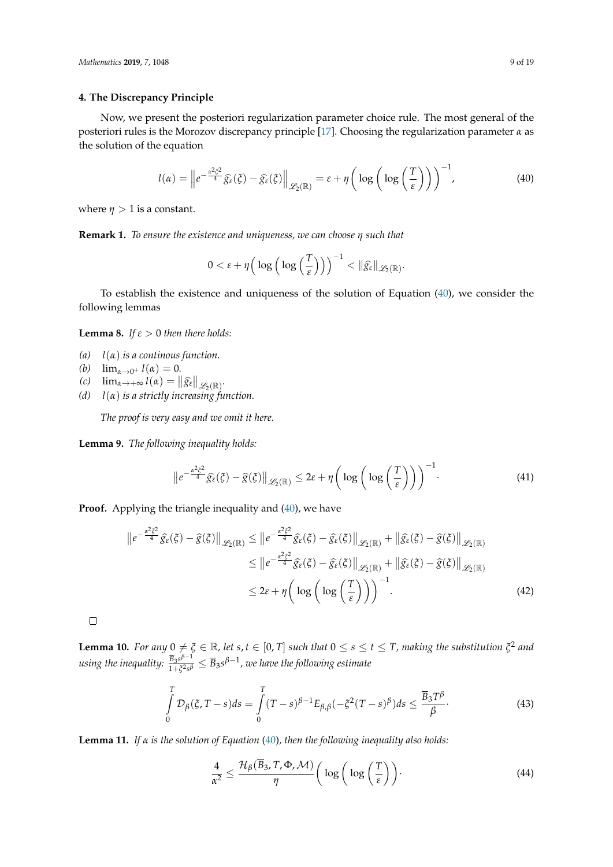#### <span id="page-8-0"></span>**4. The Discrepancy Principle**

Now, we present the posteriori regularization parameter choice rule. The most general of the posteriori rules is the Morozov discrepancy principle [\[17\]](#page-18-6). Choosing the regularization parameter *α* as the solution of the equation

$$
l(\alpha) = \left\| e^{-\frac{\alpha^2 \xi^2}{4}} \widehat{g}_{\varepsilon}(\xi) - \widehat{g}_{\varepsilon}(\xi) \right\|_{\mathscr{L}_2(\mathbb{R})} = \varepsilon + \eta \left( \log \left( \log \left( \frac{T}{\varepsilon} \right) \right) \right)^{-1},\tag{40}
$$

where  $\eta > 1$  is a constant.

**Remark 1.** *To ensure the existence and uniqueness, we can choose η such that*

<span id="page-8-1"></span>
$$
0<\varepsilon+\eta\Big(\log\Big(\log\Big(\frac{T}{\varepsilon}\Big)\Big)\Big)^{-1}<\|\widehat{g_\varepsilon}\|_{\mathscr{L}_2(\mathbb{R})}.
$$

To establish the existence and uniqueness of the solution of Equation [\(40\)](#page-8-1), we consider the following lemmas

**Lemma 8.** *If*  $\varepsilon > 0$  *then there holds:* 

- *(a) l*(*α*) *is a continous function.*
- *(b)*  $\lim_{\alpha \to 0^+} l(\alpha) = 0.$
- $f(c)$   $\lim_{\alpha \to +\infty} l(\alpha) = ||\widehat{g}_{\varepsilon}||_{\mathscr{L}_2(\mathbb{R})}.$
- *(d) l*(*α*) *is a strictly increasing function.*

*The proof is very easy and we omit it here.*

**Lemma 9.** *The following inequality holds:*

$$
\left\|e^{-\frac{\alpha^2 \xi^2}{4}}\widehat{g}_{\varepsilon}(\xi) - \widehat{g}(\xi)\right\|_{\mathscr{L}_2(\mathbb{R})} \leq 2\varepsilon + \eta \left(\log\left(\log\left(\frac{T}{\varepsilon}\right)\right)\right)^{-1}.\tag{41}
$$

**Proof.** Applying the triangle inequality and [\(40\)](#page-8-1), we have

$$
\|e^{-\frac{\alpha^2 \xi^2}{4}} \hat{g}_{\varepsilon}(\xi) - \hat{g}(\xi)\|_{\mathscr{L}_{2}(\mathbb{R})} \leq \|e^{-\frac{\alpha^2 \xi^2}{4}} \hat{g}_{\varepsilon}(\xi) - \hat{g}(\xi)\|_{\mathscr{L}_{2}(\mathbb{R})} + \|\hat{g}_{\varepsilon}(\xi) - \hat{g}(\xi)\|_{\mathscr{L}_{2}(\mathbb{R})}
$$
  

$$
\leq \|e^{-\frac{\alpha^2 \xi^2}{4}} \hat{g}_{\varepsilon}(\xi) - \hat{g}(\xi)\|_{\mathscr{L}_{2}(\mathbb{R})} + \|\hat{g}_{\varepsilon}(\xi) - \hat{g}(\xi)\|_{\mathscr{L}_{2}(\mathbb{R})}
$$
  

$$
\leq 2\varepsilon + \eta \left(\log\left(\log\left(\frac{T}{\varepsilon}\right)\right)\right)^{-1}.
$$
 (42)

 $\Box$ 

**Lemma 10.** For any  $0 \neq \xi \in \mathbb{R}$ , let  $s, t \in [0, T]$  such that  $0 \leq s \leq t \leq T$ , making the substitution  $\xi^2$  and *using the inequality:*  $\frac{\overline{B}_3s^{\beta-1}}{1+s^2s^{\beta}}$  $\frac{B_3 s^{p-1}}{1+\xi^2 s^{\beta}} \le \overline{B}_3 s^{\beta-1}$ , we have the following estimate

$$
\int_{0}^{T} \mathcal{D}_{\beta}(\xi, T - s) ds = \int_{0}^{T} (T - s)^{\beta - 1} E_{\beta, \beta}(-\xi^{2} (T - s)^{\beta}) ds \le \frac{\overline{B}_{3} T^{\beta}}{\beta}.
$$
\n(43)

<span id="page-8-2"></span>**Lemma 11.** *If α is the solution of Equation* [\(40\)](#page-8-1)*, then the following inequality also holds:*

$$
\frac{4}{\alpha^2} \le \frac{\mathcal{H}_{\beta}(\overline{B}_3, T, \Phi, \mathcal{M})}{\eta} \bigg( \log \bigg( \log \bigg( \frac{T}{\varepsilon} \bigg) \bigg). \tag{44}
$$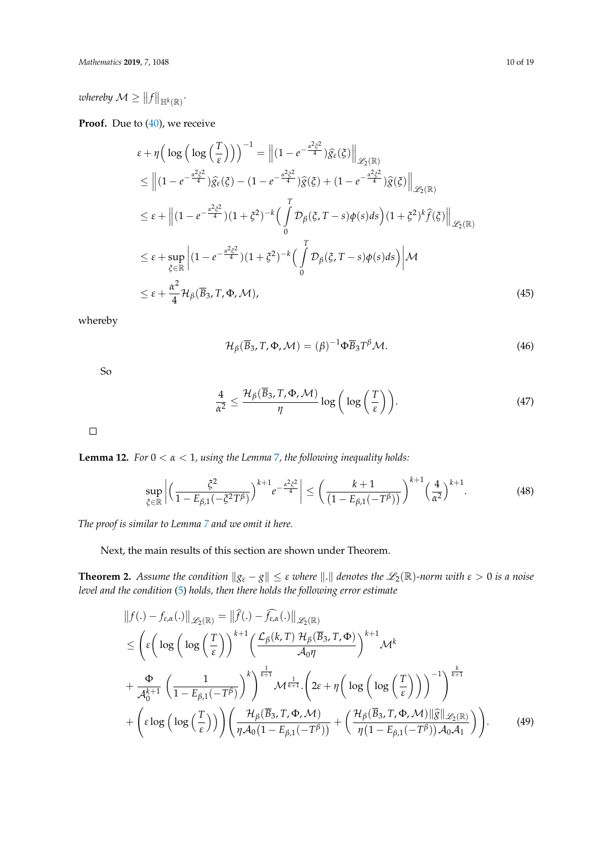whereby  $\mathcal{M} \geq \left\|f\right\|_{\mathbb{H}^k(\mathbb{R})}$ .

**Proof.** Due to [\(40\)](#page-8-1), we receive

$$
\varepsilon + \eta \Big( \log \Big( \log \Big( \frac{T}{\varepsilon} \Big) \Big) \Big)^{-1} = \Big\| (1 - e^{-\frac{\alpha^2 \xi^2}{4}}) \widehat{g}_{\varepsilon}(\xi) \Big\|_{\mathscr{L}_2(\mathbb{R})}
$$
  
\n
$$
\leq \Big\| (1 - e^{-\frac{\alpha^2 \xi^2}{4}}) \widehat{g}_{\varepsilon}(\xi) - (1 - e^{-\frac{\alpha^2 \xi^2}{4}}) \widehat{g}(\xi) + (1 - e^{-\frac{\alpha^2 \xi^2}{4}}) \widehat{g}(\xi) \Big\|_{\mathscr{L}_2(\mathbb{R})}
$$
  
\n
$$
\leq \varepsilon + \Big\| (1 - e^{-\frac{\alpha^2 \xi^2}{4}}) (1 + \xi^2)^{-k} \Big( \int_0^T \mathcal{D}_\beta(\xi, T - s) \phi(s) ds \Big) (1 + \xi^2)^k \widehat{f}(\xi) \Big\|_{\mathscr{L}_2(\mathbb{R})}
$$
  
\n
$$
\leq \varepsilon + \sup_{\xi \in \mathbb{R}} \Big| (1 - e^{-\frac{\alpha^2 \xi^2}{4}}) (1 + \xi^2)^{-k} \Big( \int_0^T \mathcal{D}_\beta(\xi, T - s) \phi(s) ds \Big) \Big\| \mathcal{M}
$$
  
\n
$$
\leq \varepsilon + \frac{\alpha^2}{4} \mathcal{H}_\beta(\overline{B}_3, T, \Phi, \mathcal{M}), \tag{45}
$$

whereby

$$
\mathcal{H}_{\beta}(\overline{B}_3, T, \Phi, \mathcal{M}) = (\beta)^{-1} \Phi \overline{B}_3 T^{\beta} \mathcal{M}.
$$
 (46)

So

$$
\frac{4}{\alpha^2} \le \frac{\mathcal{H}_\beta(\overline{B}_3, T, \Phi, \mathcal{M})}{\eta} \log \left( \log \left( \frac{T}{\varepsilon} \right) \right). \tag{47}
$$

 $\Box$ 

<span id="page-9-0"></span>**Lemma 12.** *For* 0 < *α* < 1*, using the Lemma* [7](#page-3-2)*, the following inequality holds:*

$$
\sup_{\xi \in \mathbb{R}} \left| \left( \frac{\xi^2}{1 - E_{\beta,1}(-\xi^2 T^\beta)} \right)^{k+1} e^{-\frac{\alpha^2 \xi^2}{4}} \right| \le \left( \frac{k+1}{\left( 1 - E_{\beta,1}(-T^\beta) \right)} \right)^{k+1} \left( \frac{4}{\alpha^2} \right)^{k+1}.
$$
 (48)

*The proof is similar to Lemma [7](#page-3-2) and we omit it here.*

Next, the main results of this section are shown under Theorem.

<span id="page-9-1"></span>**Theorem 2.** *Assume the condition*  $\|g_{\varepsilon} - g\| \leq \varepsilon$  *where*  $\|.\|$  *denotes the*  $\mathscr{L}_2(\mathbb{R})$ *-norm with*  $\varepsilon > 0$  *is a noise level and the condition* [\(5\)](#page-1-0) *holds, then there holds the following error estimate*

$$
||f(.) - f_{\varepsilon,\alpha}(.)||_{\mathscr{L}_{2}(\mathbb{R})} = ||\widehat{f}(.) - \widehat{f_{\varepsilon,\alpha}}(.)||_{\mathscr{L}_{2}(\mathbb{R})}
$$
  
\n
$$
\leq \left(\varepsilon \left(\log\left(\log\left(\frac{T}{\varepsilon}\right)\right)^{k+1} \left(\frac{\mathcal{L}_{\beta}(k,T) \mathcal{H}_{\beta}(\overline{B}_{3},T,\Phi)}{\mathcal{A}_{0}\eta}\right)^{k+1} \mathcal{M}^{k}\right)\right)
$$
  
\n
$$
+ \frac{\Phi}{\mathcal{A}_{0}^{k+1}} \left(\frac{1}{1 - E_{\beta,1}(-T^{\beta})}\right)^{k} \right)^{\frac{1}{k+1}} \mathcal{M}^{\frac{1}{k+1}} \cdot \left(2\varepsilon + \eta\left(\log\left(\log\left(\frac{T}{\varepsilon}\right)\right)\right)^{-1}\right)^{\frac{k}{k+1}}
$$
  
\n
$$
+ \left(\varepsilon \log\left(\log\left(\frac{T}{\varepsilon}\right)\right)\right) \left(\frac{\mathcal{H}_{\beta}(\overline{B}_{3},T,\Phi,\mathcal{M})}{\eta \mathcal{A}_{0}(1 - E_{\beta,1}(-T^{\beta}))} + \left(\frac{\mathcal{H}_{\beta}(\overline{B}_{3},T,\Phi,\mathcal{M})||\widehat{g}||_{\mathscr{L}_{2}(\mathbb{R})}}{\eta(1 - E_{\beta,1}(-T^{\beta}))\mathcal{A}_{0}\mathcal{A}_{1}}\right)\right).
$$
(49)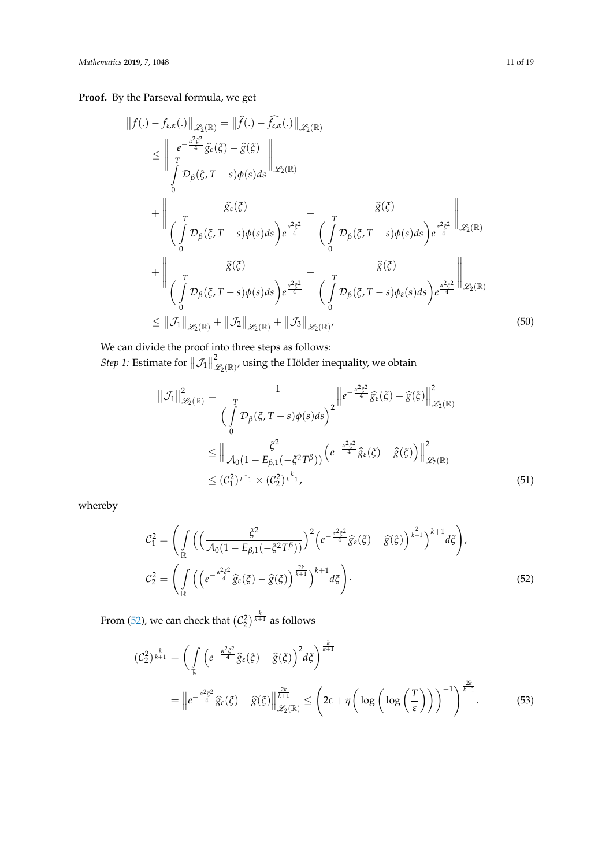**Proof.** By the Parseval formula, we get

$$
||f(.) - f_{\varepsilon,\alpha}(.)||_{\mathscr{L}_{2}(\mathbb{R})} = ||\hat{f}(.) - \hat{f}_{\varepsilon,\alpha}(.)||_{\mathscr{L}_{2}(\mathbb{R})}
$$
\n
$$
\leq \left\| \frac{e^{-\frac{\alpha^{2}\xi^{2}}{4}}\hat{g}_{\varepsilon}(\xi) - \hat{g}(\xi)}{\int_{0}^{T} \mathcal{D}_{\beta}(\xi, T - s)\phi(s)ds} \right\|_{\mathscr{L}_{2}(\mathbb{R})}
$$
\n
$$
+ \left\| \frac{\hat{g}_{\varepsilon}(\xi)}{\int_{0}^{T} \mathcal{D}_{\beta}(\xi, T - s)\phi(s)ds} \right)e^{\frac{\alpha^{2}\xi^{2}}{4}} - \frac{\hat{g}(\xi)}{\int_{0}^{T} \mathcal{D}_{\beta}(\xi, T - s)\phi(s)ds} e^{\frac{\alpha^{2}\xi^{2}}{4}} \right\|_{\mathscr{L}_{2}(\mathbb{R})}
$$
\n
$$
+ \left\| \frac{\hat{g}(\xi)}{\int_{0}^{T} \mathcal{D}_{\beta}(\xi, T - s)\phi(s)ds} e^{\frac{\alpha^{2}\xi^{2}}{4}} - \frac{\hat{g}(\xi)}{\int_{0}^{T} \mathcal{D}_{\beta}(\xi, T - s)\phi_{\varepsilon}(s)ds} e^{\frac{\alpha^{2}\xi^{2}}{4}} \right\|_{\mathscr{L}_{2}(\mathbb{R})}
$$
\n
$$
\leq ||\mathcal{J}_{1}||_{\mathscr{L}_{2}(\mathbb{R})} + ||\mathcal{J}_{2}||_{\mathscr{L}_{2}(\mathbb{R})} + ||\mathcal{J}_{3}||_{\mathscr{L}_{2}(\mathbb{R})}, \tag{50}
$$

We can divide the proof into three steps as follows: *Step 1:* Estimate for  $||\mathcal{J}_1||$  $^2_{\mathscr{L}_{2}(\mathbb{R})^{\prime}}$  using the Hölder inequality, we obtain

<span id="page-10-1"></span>
$$
\|\mathcal{J}_1\|_{\mathscr{L}_2(\mathbb{R})}^2 = \frac{1}{\left(\int\limits_0^T \mathcal{D}_\beta(\xi, T - s) \phi(s) ds\right)^2} \left\| e^{-\frac{\alpha^2 \xi^2}{4}} \widehat{g}_{\varepsilon}(\xi) - \widehat{g}(\xi) \right\|_{\mathscr{L}_2(\mathbb{R})}^2
$$
  
\$\leq \left\| \frac{\xi^2}{\mathcal{A}\_0(1 - E\_{\beta,1}(-\xi^2 T^\beta))} \left( e^{-\frac{\alpha^2 \xi^2}{4}} \widehat{g}\_{\varepsilon}(\xi) - \widehat{g}(\xi) \right) \right\|\_{\mathscr{L}\_2(\mathbb{R})}^2\$  
\$\leq (C\_1^2)^{\frac{1}{k+1}} \times (C\_2^2)^{\frac{k}{k+1}}, \qquad (51)\$

whereby

<span id="page-10-0"></span>
$$
\mathcal{C}_1^2 = \left( \int_{\mathbb{R}} \left( \left( \frac{\xi^2}{\mathcal{A}_0 (1 - E_{\beta,1} (-\xi^2 T^\beta))} \right)^2 \left( e^{-\frac{\alpha^2 \xi^2}{4}} \widehat{g}_\varepsilon(\xi) - \widehat{g}(\xi) \right)^{\frac{2}{k+1}} \right)^{k+1} d\xi \right),
$$
  

$$
\mathcal{C}_2^2 = \left( \int_{\mathbb{R}} \left( \left( e^{-\frac{\alpha^2 \xi^2}{4}} \widehat{g}_\varepsilon(\xi) - \widehat{g}(\xi) \right)^{\frac{2k}{k+1}} \right)^{k+1} d\xi \right).
$$
 (52)

From [\(52\)](#page-10-0), we can check that  $\left({\mathcal C}_2^2\right)^{k\over k+1}$  as follows

$$
(\mathcal{C}_2^2)^{\frac{k}{k+1}} = \left(\int_{\mathbb{R}} \left(e^{-\frac{\alpha^2 \xi^2}{4}} \widehat{g}_{\varepsilon}(\xi) - \widehat{g}(\xi)\right)^2 d\xi\right)^{\frac{k}{k+1}}
$$
  
= 
$$
\left\|e^{-\frac{\alpha^2 \xi^2}{4}} \widehat{g}_{\varepsilon}(\xi) - \widehat{g}(\xi)\right\|^{\frac{2k}{k+1}} \le \left(2\varepsilon + \eta\left(\log\left(\log\left(\frac{T}{\varepsilon}\right)\right)\right)^{-1}\right)^{\frac{2k}{k+1}}.
$$
 (53)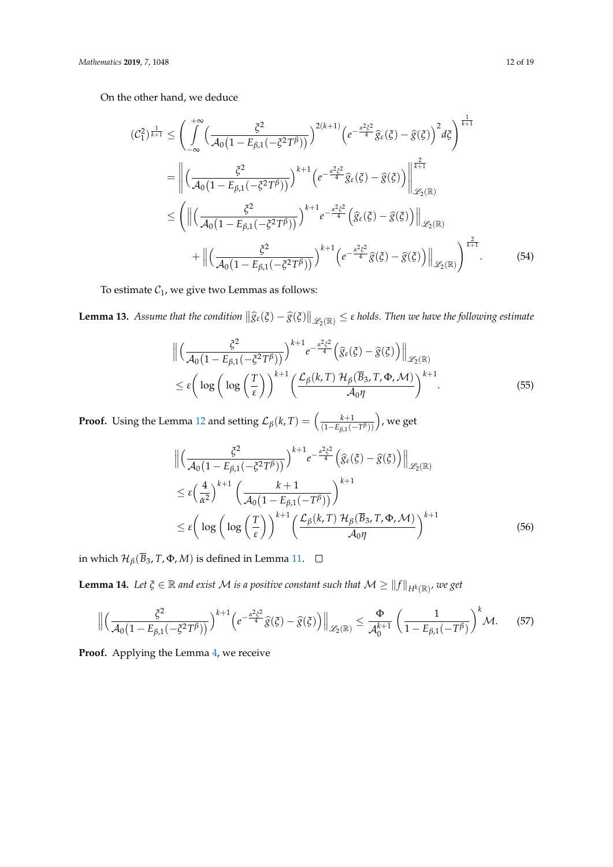On the other hand, we deduce

$$
(C_{1}^{2})^{\frac{1}{k+1}} \leq \left(\int_{-\infty}^{+\infty} \left(\frac{\xi^{2}}{\mathcal{A}_{0}(1-E_{\beta,1}(-\xi^{2}T^{\beta}))}\right)^{2(k+1)} \left(e^{-\frac{\alpha^{2}\xi^{2}}{4}}\hat{g}_{\varepsilon}(\xi)-\hat{g}(\xi)\right)^{2} d\xi\right)^{\frac{1}{k+1}}
$$

$$
= \left\|\left(\frac{\xi^{2}}{\mathcal{A}_{0}(1-E_{\beta,1}(-\xi^{2}T^{\beta}))}\right)^{k+1} \left(e^{-\frac{\alpha^{2}\xi^{2}}{4}}\hat{g}_{\varepsilon}(\xi)-\hat{g}(\xi)\right)\right\|_{\mathscr{L}_{2}(\mathbb{R})}^{\frac{2}{k+1}}
$$

$$
\leq \left(\|\left(\frac{\xi^{2}}{\mathcal{A}_{0}(1-E_{\beta,1}(-\xi^{2}T^{\beta}))}\right)^{k+1}e^{-\frac{\alpha^{2}\xi^{2}}{4}}\left(\hat{g}_{\varepsilon}(\xi)-\hat{g}(\xi)\right)\right\|_{\mathscr{L}_{2}(\mathbb{R})}
$$

$$
+ \|\left(\frac{\xi^{2}}{\mathcal{A}_{0}(1-E_{\beta,1}(-\xi^{2}T^{\beta}))}\right)^{k+1} \left(e^{-\frac{\alpha^{2}\xi^{2}}{4}}\hat{g}(\xi)-\hat{g}(\xi)\right)\|_{\mathscr{L}_{2}(\mathbb{R})}\right)^{\frac{2}{k+1}}.
$$
(54)

To estimate  $C_1$ , we give two Lemmas as follows:

**Lemma 13.** Assume that the condition  $\|\widehat{g}_{\varepsilon}(\xi) - \widehat{g}(\xi)\|_{\mathscr{L}_2(\mathbb{R})} \leq \varepsilon$  holds. Then we have the following estimate

<span id="page-11-0"></span>
$$
\begin{split} &\left\| \left( \frac{\xi^2}{\mathcal{A}_0 \left( 1 - E_{\beta,1} \left( -\xi^2 T^{\beta} \right) \right)} \right)^{k+1} e^{-\frac{\alpha^2 \xi^2}{4}} \left( \hat{g}_{\varepsilon}(\xi) - \hat{g}(\xi) \right) \right\|_{\mathscr{L}_2(\mathbb{R})} \\ &\leq \varepsilon \left( \log \left( \log \left( \frac{T}{\varepsilon} \right) \right)^{k+1} \left( \frac{\mathcal{L}_{\beta}(k,T) \mathcal{H}_{\beta}(\overline{B}_3, T, \Phi, \mathcal{M})}{\mathcal{A}_0 \eta} \right)^{k+1} . \end{split} \tag{55}
$$

**Proof.** Using the Lemma [12](#page-9-0) and setting  $\mathcal{L}_{\beta}(k, T) = \left(\frac{k+1}{(1-E_{\beta})^{1/2}}\right)$ (1−*Eβ*,1(−*T β* )) , we get

<span id="page-11-1"></span>
$$
\begin{split} &\left\| \left( \frac{\xi^2}{\mathcal{A}_0 \left( 1 - E_{\beta,1} \left( -\xi^2 T^{\beta} \right) \right)} \right)^{k+1} e^{-\frac{\alpha^2 \xi^2}{4}} \left( \widehat{g}_{\varepsilon}(\xi) - \widehat{g}(\xi) \right) \right\|_{\mathscr{L}_2(\mathbb{R})} \\ &\leq \varepsilon \left( \frac{4}{\alpha^2} \right)^{k+1} \left( \frac{k+1}{\mathcal{A}_0 \left( 1 - E_{\beta,1} \left( -T^{\beta} \right) \right)} \right)^{k+1} \\ &\leq \varepsilon \left( \log \left( \log \left( \frac{T}{\varepsilon} \right) \right)^{k+1} \left( \frac{\mathcal{L}_{\beta}(k,T)}{\mathcal{A}_0 \eta} \frac{\mathcal{H}_{\beta}(\overline{B}_3, T, \Phi, \mathcal{M})}{\mathcal{A}_0 \eta} \right)^{k+1} \right) \end{split} \tag{56}
$$

in which  $\mathcal{H}_{\beta}(\overline{B}_3, T, \Phi, M)$  is defined in Lemma [11.](#page-8-2)  $□$ 

**Lemma 14.** Let  $\xi \in \mathbb{R}$  and exist M is a positive constant such that  $\mathcal{M} \geq ||f||_{H^k(\mathbb{R})}$ , we get

$$
\left\| \left( \frac{\xi^2}{\mathcal{A}_0 \left( 1 - E_{\beta,1} \left( -\xi^2 T^\beta \right) \right)} \right)^{k+1} \left( e^{-\frac{\alpha^2 \xi^2}{4}} \widehat{g}(\xi) - \widehat{g}(\xi) \right) \right\|_{\mathscr{L}_2(\mathbb{R})} \leq \frac{\Phi}{\mathcal{A}_0^{k+1}} \left( \frac{1}{1 - E_{\beta,1} \left( -T^\beta \right)} \right)^k \mathcal{M}. \tag{57}
$$

Proof. Applying the Lemma [4,](#page-2-3) we receive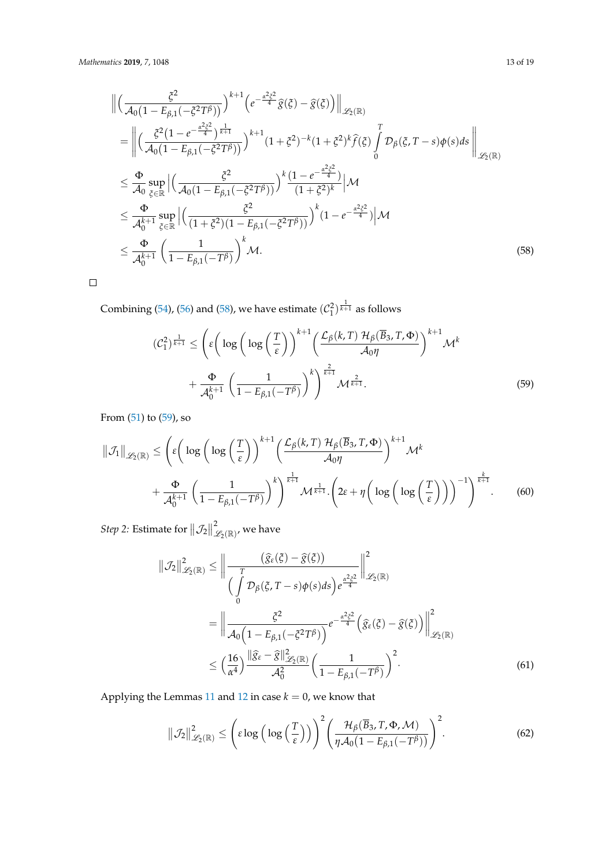$$
\begin{split}\n&\left\| \left( \frac{\xi^{2}}{\mathcal{A}_{0} \left(1 - E_{\beta,1}(-\xi^{2} T^{\beta})\right)} \right)^{k+1} \left( e^{-\frac{\alpha^{2} \xi^{2}}{4}} \hat{g}(\xi) - \hat{g}(\xi) \right) \right\|_{\mathscr{L}_{2}(\mathbb{R})} \\
&= \left\| \left( \frac{\xi^{2} (1 - e^{-\frac{\alpha^{2} \xi^{2}}{4}})^{\frac{1}{k+1}}}{\mathcal{A}_{0} \left(1 - E_{\beta,1}(-\xi^{2} T^{\beta})\right)} \right)^{k+1} (1 + \xi^{2})^{-k} (1 + \xi^{2})^{k} \hat{f}(\xi) \int_{0}^{T} \mathcal{D}_{\beta}(\xi, T - s) \phi(s) ds \right\|_{\mathscr{L}_{2}(\mathbb{R})} \\
&\leq \frac{\Phi}{\mathcal{A}_{0}} \sup_{\xi \in \mathbb{R}} \left| \left( \frac{\xi^{2}}{\mathcal{A}_{0} \left(1 - E_{\beta,1}(-\xi^{2} T^{\beta})\right)} \right)^{k} \frac{(1 - e^{-\frac{\alpha^{2} \xi^{2}}{4}})}{(1 + \xi^{2})^{k}} \right| \mathcal{M} \\
&\leq \frac{\Phi}{\mathcal{A}_{0}^{k+1}} \sup_{\xi \in \mathbb{R}} \left| \left( \frac{\xi^{2}}{(1 + \xi^{2}) (1 - E_{\beta,1}(-\xi^{2} T^{\beta}))} \right)^{k} (1 - e^{-\frac{\alpha^{2} \xi^{2}}{4}}) \right| \mathcal{M} \\
&\leq \frac{\Phi}{\mathcal{A}_{0}^{k+1}} \left( \frac{1}{1 - E_{\beta,1}(-T^{\beta})} \right)^{k} \mathcal{M}.\n\end{split} \tag{58}
$$

 $\Box$ 

Combining [\(54\)](#page-11-0), [\(56\)](#page-11-1) and [\(58\)](#page-12-0), we have estimate  $(\mathcal{C}_1^2)^{\frac{1}{k+1}}$  as follows

<span id="page-12-1"></span><span id="page-12-0"></span>
$$
(\mathcal{C}_1^2)^{\frac{1}{k+1}} \le \left(\varepsilon \left(\log\left(\log\left(\frac{T}{\varepsilon}\right)\right)^{k+1} \left(\frac{\mathcal{L}_{\beta}(k,T) \mathcal{H}_{\beta}(\overline{B}_3, T, \Phi)}{\mathcal{A}_0 \eta}\right)^{k+1} \mathcal{M}^k + \frac{\Phi}{\mathcal{A}_0^{k+1}} \left(\frac{1}{1 - E_{\beta,1}(-T^{\beta})}\right)^k\right)^{\frac{2}{k+1}} \mathcal{M}^{\frac{2}{k+1}}.
$$
\n
$$
(59)
$$

From  $(51)$  to  $(59)$ , so

$$
\|\mathcal{J}_{1}\|_{\mathscr{L}_{2}(\mathbb{R})} \leq \left(\varepsilon \bigg(\log\bigg(\log\bigg(\frac{T}{\varepsilon}\bigg)\bigg)^{k+1} \bigg(\frac{\mathcal{L}_{\beta}(k,T) \mathcal{H}_{\beta}(\overline{B}_{3},T,\Phi)}{\mathcal{A}_{0}\eta}\bigg)^{k+1} \mathcal{M}^{k}\right) + \frac{\Phi}{\mathcal{A}_{0}^{k+1}} \left(\frac{1}{1 - E_{\beta,1}(-T^{\beta})}\right)^{k}\right)^{\frac{1}{k+1}} \mathcal{M}^{\frac{1}{k+1}}.\left(2\varepsilon + \eta\bigg(\log\bigg(\log\bigg(\frac{T}{\varepsilon}\bigg)\bigg)\bigg)^{-1}\right)^{\frac{k}{k+1}}.\tag{60}
$$

*Step 2:* Estimate for  $||\mathcal{J}_2||$  $^2_{\mathscr{L}_2(\mathbb{R})'}$  we have

<span id="page-12-2"></span>
$$
\|\mathcal{J}_{2}\|_{\mathscr{L}_{2}(\mathbb{R})}^{2} \leq \left\| \frac{(\widehat{g}_{\varepsilon}(\xi) - \widehat{g}(\xi))}{(\int_{0}^{T} \mathcal{D}_{\beta}(\xi, T - s) \phi(s) ds) e^{\frac{\alpha^{2} \xi^{2}}{4}}}\right\|_{\mathscr{L}_{2}(\mathbb{R})}^{2}
$$

$$
= \left\| \frac{\xi^{2}}{\mathcal{A}_{0} \left(1 - E_{\beta,1}(-\xi^{2} T^{\beta})\right)} e^{-\frac{\alpha^{2} \xi^{2}}{4}} \left(\widehat{g}_{\varepsilon}(\xi) - \widehat{g}(\xi)\right)\right\|_{\mathscr{L}_{2}(\mathbb{R})}^{2}
$$

$$
\leq \left(\frac{16}{\alpha^{4}}\right) \frac{\|\widehat{g}_{\varepsilon} - \widehat{g}\|_{\mathscr{L}_{2}(\mathbb{R})}^{2}}{\mathcal{A}_{0}^{2}} \left(\frac{1}{1 - E_{\beta,1}(-T^{\beta})}\right)^{2}.
$$
(61)

Applying the Lemmas [11](#page-8-2) and [12](#page-9-0) in case  $k = 0$ , we know that

$$
\|\mathcal{J}_2\|_{\mathscr{L}_2(\mathbb{R})}^2 \le \left(\epsilon \log\left(\log\left(\frac{T}{\epsilon}\right)\right)\right)^2 \left(\frac{\mathcal{H}_{\beta}(\overline{B}_3, T, \Phi, \mathcal{M})}{\eta \mathcal{A}_0(1 - E_{\beta,1}(-T^{\beta}))}\right)^2.
$$
 (62)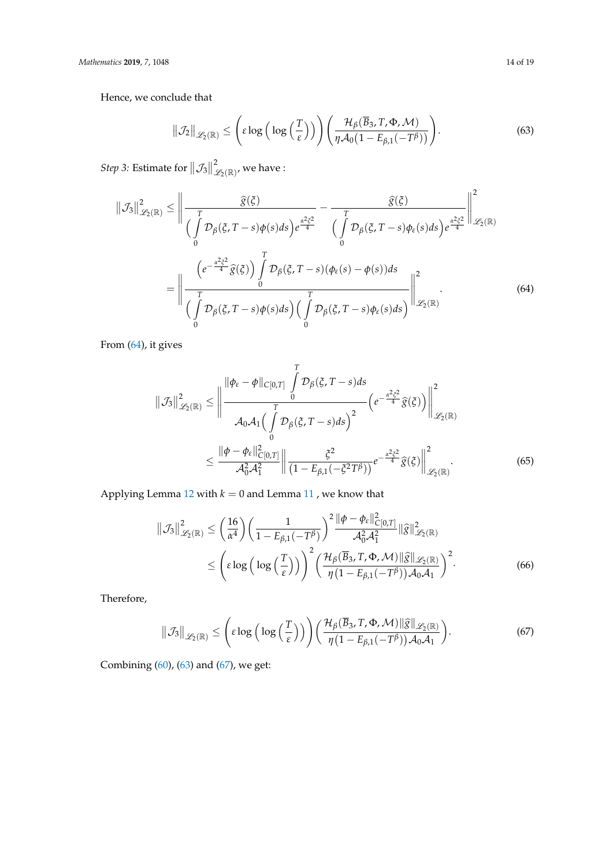Hence, we conclude that

$$
\|\mathcal{J}_2\|_{\mathscr{L}_2(\mathbb{R})} \leq \left(\varepsilon \log\left(\log\left(\frac{T}{\varepsilon}\right)\right)\right) \left(\frac{\mathcal{H}_{\beta}(\overline{B}_3, T, \Phi, \mathcal{M})}{\eta \mathcal{A}_0(1 - E_{\beta,1}(-T^{\beta}))}\right). \tag{63}
$$

*Step 3:* Estimate for  $||\mathcal{J}_3||$  $^2_{\mathscr{L}_2(\mathbb{R})'}$  we have :

$$
\|\mathcal{J}_{3}\|_{\mathscr{L}_{2}(\mathbb{R})}^{2} \leq \left\|\frac{\widehat{g}(\xi)}{\int_{0}^{T} \mathcal{D}_{\beta}(\xi, T-s) \phi(s) ds} \right) e^{\frac{\alpha^{2} \xi^{2}}{4}} - \frac{\widehat{g}(\xi)}{\int_{0}^{T} \mathcal{D}_{\beta}(\xi, T-s) \phi_{\epsilon}(s) ds} e^{\frac{\alpha^{2} \xi^{2}}{4}} \left\|\mathcal{L}_{2}(\mathbb{R})\right\|_{\mathscr{L}_{2}(\mathbb{R})}^{2}
$$
\n
$$
= \left\|\frac{\left(e^{-\frac{\alpha^{2} \xi^{2}}{4}} \widehat{g}(\xi)\right) \int_{0}^{T} \mathcal{D}_{\beta}(\xi, T-s) (\phi_{\epsilon}(s) - \phi(s)) ds}{\int_{0}^{T} \mathcal{D}_{\beta}(\xi, T-s) \phi_{\epsilon}(s) ds} \right\|_{\mathscr{L}_{2}(\mathbb{R})}^{2} \tag{64}
$$

From [\(64\)](#page-13-0), it gives

$$
\|\mathcal{J}_3\|_{\mathscr{L}_2(\mathbb{R})}^2 \le \left\|\frac{\|\phi_{\varepsilon} - \phi\|_{C[0,T]}\int_0^T \mathcal{D}_{\beta}(\xi, T-s)ds}{\mathcal{A}_0 \mathcal{A}_1 \Big(\int_0^T \mathcal{D}_{\beta}(\xi, T-s)ds\Big)^2} \Big(e^{-\frac{\alpha^2 \xi^2}{4}}\hat{g}(\xi)\Big)\right\|_{\mathscr{L}_2(\mathbb{R})}^2
$$

$$
\le \frac{\|\phi - \phi_{\varepsilon}\|_{C[0,T]}^2}{\mathcal{A}_0^2 \mathcal{A}_1^2} \left\|\frac{\xi^2}{(1 - E_{\beta,1}(-\xi^2 T^\beta))}e^{-\frac{\alpha^2 \xi^2}{4}}\hat{g}(\xi)\right\|_{\mathscr{L}_2(\mathbb{R})}^2. \tag{65}
$$

Applying Lemma [12](#page-9-0) with  $k = 0$  and Lemma [11](#page-8-2) , we know that

$$
\|\mathcal{J}_{3}\|_{\mathscr{L}_{2}(\mathbb{R})}^{2} \leq \left(\frac{16}{\alpha^{4}}\right) \left(\frac{1}{1 - E_{\beta,1}(-T^{\beta})}\right)^{2} \frac{\|\phi - \phi_{\varepsilon}\|_{C[0,T]}^{2}}{\mathcal{A}_{0}^{2} \mathcal{A}_{1}^{2}} \|\widehat{g}\|_{\mathscr{L}_{2}(\mathbb{R})}^{2}
$$

$$
\leq \left(\varepsilon \log\left(\log\left(\frac{T}{\varepsilon}\right)\right)\right)^{2} \left(\frac{\mathcal{H}_{\beta}(\overline{B}_{3}, T, \Phi, \mathcal{M})\|\widehat{g}\|_{\mathscr{L}_{2}(\mathbb{R})}}{\eta\left(1 - E_{\beta,1}(-T^{\beta})\right) \mathcal{A}_{0} \mathcal{A}_{1}}\right)^{2}.
$$
(66)

Therefore,

<span id="page-13-2"></span>
$$
\|\mathcal{J}_3\|_{\mathscr{L}_2(\mathbb{R})} \leq \left(\varepsilon \log\left(\log\left(\frac{T}{\varepsilon}\right)\right)\right) \left(\frac{\mathcal{H}_{\beta}(\overline{B}_3, T, \Phi, \mathcal{M}) \|\widehat{g}\|_{\mathscr{L}_2(\mathbb{R})}}{\eta(1 - E_{\beta,1}(-T^{\beta}))\mathcal{A}_0\mathcal{A}_1}\right). \tag{67}
$$

Combining [\(60\)](#page-12-2), [\(63\)](#page-13-1) and [\(67\)](#page-13-2), we get:

<span id="page-13-1"></span><span id="page-13-0"></span>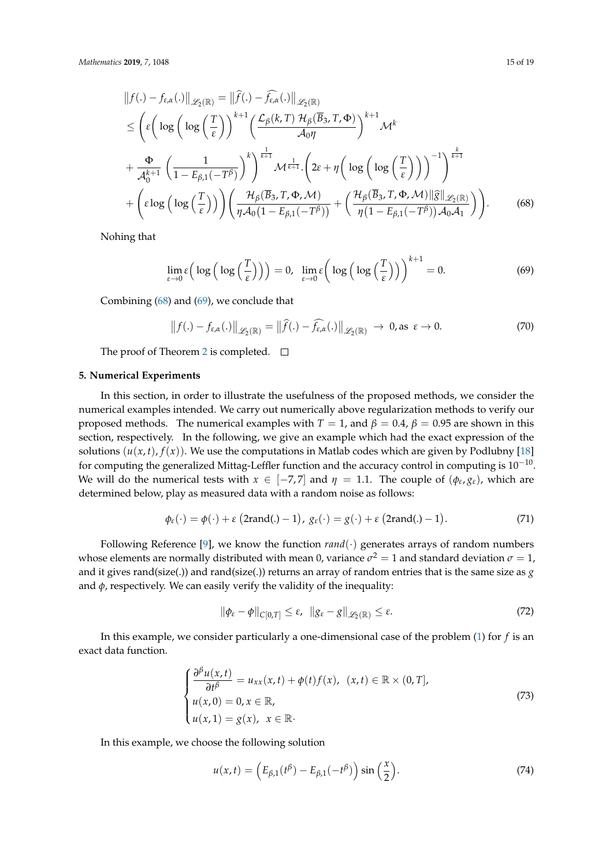$$
||f(.) - f_{\varepsilon,\alpha}(.)||_{\mathscr{L}_{2}(\mathbb{R})} = ||\widehat{f}(.) - \widehat{f}_{\varepsilon,\alpha}(.)||_{\mathscr{L}_{2}(\mathbb{R})}
$$
  
\n
$$
\leq \left(\varepsilon \left(\log\left(\log\left(\frac{T}{\varepsilon}\right)\right)^{k+1} \left(\frac{\mathcal{L}_{\beta}(k,T) \mathcal{H}_{\beta}(\overline{B}_{3},T,\Phi)}{\mathcal{A}_{0}\eta}\right)^{k+1} \mathcal{M}^{k}\right) \right)
$$
  
\n
$$
+ \frac{\Phi}{\mathcal{A}_{0}^{k+1}} \left(\frac{1}{1 - E_{\beta,1}(-T^{\beta})}\right)^{k} \right)^{\frac{1}{k+1}} \mathcal{M}^{\frac{1}{k+1}} \cdot \left(2\varepsilon + \eta\left(\log\left(\log\left(\frac{T}{\varepsilon}\right)\right)\right)^{-1}\right)^{\frac{k}{k+1}}
$$
  
\n
$$
+ \left(\varepsilon \log\left(\log\left(\frac{T}{\varepsilon}\right)\right)\right) \left(\frac{\mathcal{H}_{\beta}(\overline{B}_{3},T,\Phi,\mathcal{M})}{\eta \mathcal{A}_{0}(1 - E_{\beta,1}(-T^{\beta}))} + \left(\frac{\mathcal{H}_{\beta}(\overline{B}_{3},T,\Phi,\mathcal{M})||\widehat{g}||_{\mathcal{L}_{2}(\mathbb{R})}}{\eta(1 - E_{\beta,1}(-T^{\beta}))\mathcal{A}_{0}\mathcal{A}_{1}}\right)\right).
$$
(68)

Nohing that

<span id="page-14-2"></span><span id="page-14-1"></span>
$$
\lim_{\varepsilon \to 0} \varepsilon \Big( \log \Big( \log \Big( \frac{T}{\varepsilon} \Big) \Big) \Big) = 0, \quad \lim_{\varepsilon \to 0} \varepsilon \Big( \log \Big( \log \Big( \frac{T}{\varepsilon} \Big) \Big) \Big)^{k+1} = 0. \tag{69}
$$

Combining [\(68\)](#page-14-1) and [\(69\)](#page-14-2), we conclude that

$$
||f(.) - f_{\varepsilon,\alpha}(.)||_{\mathscr{L}_2(\mathbb{R})} = ||\widehat{f}(.) - \widehat{f_{\varepsilon,\alpha}}(.)||_{\mathscr{L}_2(\mathbb{R})} \to 0, \text{ as } \varepsilon \to 0.
$$
 (70)

The proof of Theorem [2](#page-9-1) is completed.  $\square$ 

#### <span id="page-14-0"></span>**5. Numerical Experiments**

In this section, in order to illustrate the usefulness of the proposed methods, we consider the numerical examples intended. We carry out numerically above regularization methods to verify our proposed methods. The numerical examples with  $T = 1$ , and  $\beta = 0.4$ ,  $\beta = 0.95$  are shown in this section, respectively. In the following, we give an example which had the exact expression of the solutions  $(u(x, t), f(x))$ . We use the computations in Matlab codes which are given by Podlubny [\[18\]](#page-18-7) for computing the generalized Mittag-Leffler function and the accuracy control in computing is  $10^{-10}$ . We will do the numerical tests with  $x \in [-7, 7]$  and  $\eta = 1.1$ . The couple of  $(\phi_{\varepsilon}, g_{\varepsilon})$ , which are determined below, play as measured data with a random noise as follows:

$$
\phi_{\varepsilon}(\cdot) = \phi(\cdot) + \varepsilon \left(2 \text{rand}(\cdot) - 1\right), \ g_{\varepsilon}(\cdot) = g(\cdot) + \varepsilon \left(2 \text{rand}(\cdot) - 1\right). \tag{71}
$$

Following Reference [\[9\]](#page-17-7), we know the function  $rand(\cdot)$  generates arrays of random numbers whose elements are normally distributed with mean 0, variance  $\sigma^2 = 1$  and standard deviation  $\sigma = 1$ , and it gives rand(size(.)) and rand(size(.)) returns an array of random entries that is the same size as *g* and  $\phi$ , respectively. We can easily verify the validity of the inequality:

<span id="page-14-3"></span>
$$
\|\phi_{\varepsilon}-\phi\|_{C[0,T]}\leq\varepsilon,\quad\|g_{\varepsilon}-g\|_{\mathscr{L}_2(\mathbb{R})}\leq\varepsilon.\tag{72}
$$

In this example, we consider particularly a one-dimensional case of the problem [\(1\)](#page-0-0) for *f* is an exact data function.

$$
\begin{cases}\n\frac{\partial \beta u(x,t)}{\partial t^{\beta}} = u_{xx}(x,t) + \phi(t)f(x), & (x,t) \in \mathbb{R} \times (0,T], \\
u(x,0) = 0, x \in \mathbb{R}, \\
u(x,1) = g(x), & x \in \mathbb{R}.\n\end{cases}
$$
\n(73)

In this example, we choose the following solution

$$
u(x,t) = \left(E_{\beta,1}(t^{\beta}) - E_{\beta,1}(-t^{\beta})\right)\sin\left(\frac{x}{2}\right).
$$
 (74)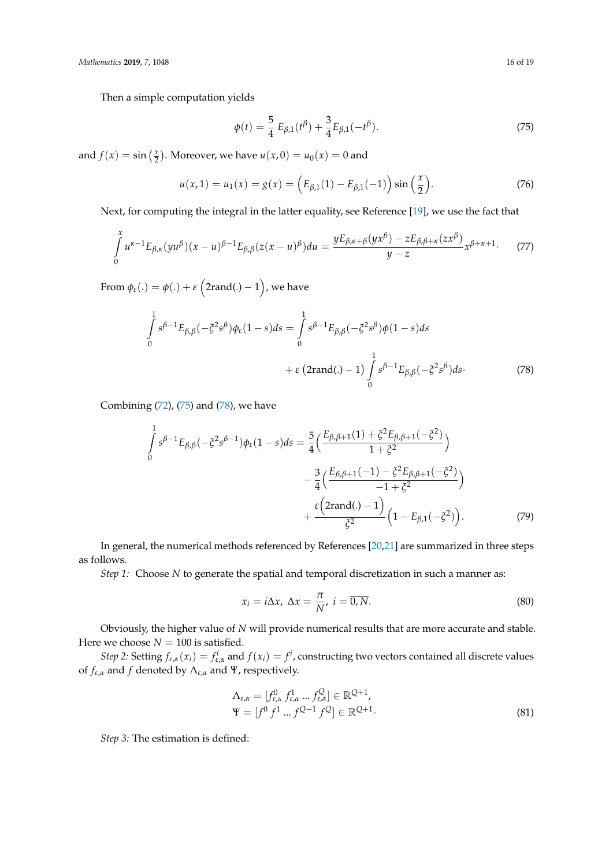Then a simple computation yields

<span id="page-15-0"></span>
$$
\phi(t) = \frac{5}{4} E_{\beta,1}(t^{\beta}) + \frac{3}{4} E_{\beta,1}(-t^{\beta}).
$$
\n(75)

and  $f(x) = \sin\left(\frac{x}{2}\right)$ . Moreover, we have  $u(x, 0) = u_0(x) = 0$  and

$$
u(x,1) = u_1(x) = g(x) = (E_{\beta,1}(1) - E_{\beta,1}(-1)) \sin(\frac{x}{2}).
$$
 (76)

Next, for computing the integral in the latter equality, see Reference [\[19\]](#page-18-8), we use the fact that

$$
\int_{0}^{x} u^{\kappa-1} E_{\beta,\kappa}(yu^{\beta})(x-u)^{\beta-1} E_{\beta,\beta}(z(x-u)^{\beta}) du = \frac{y E_{\beta,\kappa+\beta}(yx^{\beta}) - z E_{\beta,\beta+\kappa}(zx^{\beta})}{y-z} x^{\beta+\kappa+1}.
$$
 (77)

From  $\phi_\varepsilon(.)=\phi(.)+\varepsilon\left(2\mathrm{rand}(.)-1\right)$  , we have

$$
\int_{0}^{1} s^{\beta - 1} E_{\beta, \beta}(-\xi^{2} s^{\beta}) \phi_{\varepsilon}(1 - s) ds = \int_{0}^{1} s^{\beta - 1} E_{\beta, \beta}(-\xi^{2} s^{\beta}) \phi(1 - s) ds \n+ \varepsilon (2 \text{rand}(.) - 1) \int_{0}^{1} s^{\beta - 1} E_{\beta, \beta}(-\xi^{2} s^{\beta}) ds.
$$
\n(78)

Combining [\(72\)](#page-14-3), [\(75\)](#page-15-0) and [\(78\)](#page-15-1), we have

$$
\int_{0}^{1} s^{\beta-1} E_{\beta,\beta}(-\xi^{2} s^{\beta-1}) \phi_{\varepsilon}(1-s) ds = \frac{5}{4} \Big( \frac{E_{\beta,\beta+1}(1) + \xi^{2} E_{\beta,\beta+1}(-\xi^{2})}{1 + \xi^{2}} \Big) \n- \frac{3}{4} \Big( \frac{E_{\beta,\beta+1}(-1) - \xi^{2} E_{\beta,\beta+1}(-\xi^{2})}{-1 + \xi^{2}} \Big) \n+ \frac{\varepsilon \Big( 2 \text{rand}(.)-1 \Big)}{\xi^{2}} \Big( 1 - E_{\beta,1}(-\xi^{2}) \Big). \tag{79}
$$

In general, the numerical methods referenced by References [\[20](#page-18-9)[,21\]](#page-18-10) are summarized in three steps as follows.

*Step 1:* Choose *N* to generate the spatial and temporal discretization in such a manner as:

<span id="page-15-1"></span>
$$
x_i = i\Delta x, \ \Delta x = \frac{\pi}{N}, \ i = \overline{0, N}.
$$
\n
$$
(80)
$$

Obviously, the higher value of *N* will provide numerical results that are more accurate and stable. Here we choose  $N = 100$  is satisfied.

*Step 2:* Setting  $f_{\varepsilon,\alpha}(x_i) = f_{\varepsilon,\alpha}^i$  and  $f(x_i) = f^i$ , constructing two vectors contained all discrete values of *fε*,*<sup>α</sup>* and *f* denoted by Λ*ε*,*<sup>α</sup>* and Ψ, respectively.

$$
\Lambda_{\varepsilon,\alpha} = [f_{\varepsilon,\alpha}^0 \ f_{\varepsilon,\alpha}^1 \dots f_{\varepsilon,\alpha}^Q] \in \mathbb{R}^{Q+1},
$$
  
\n
$$
\Psi = [f^0 \ f^1 \dots f^{Q-1} \ f^Q] \in \mathbb{R}^{Q+1}.
$$
\n(81)

*Step 3:* The estimation is defined: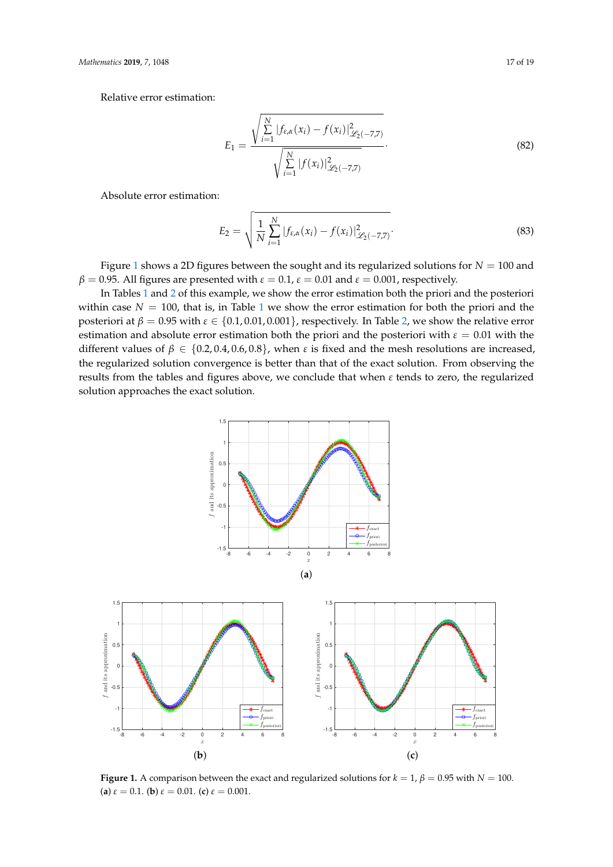Relative error estimation:

$$
E_1 = \frac{\sqrt{\sum_{i=1}^{N} |f_{\varepsilon,\alpha}(x_i) - f(x_i)|_{\mathscr{L}_2(-7,7)}^2}}{\sqrt{\sum_{i=1}^{N} |f(x_i)|_{\mathscr{L}_2(-7,7)}^2}}.
$$
(82)

Absolute error estimation:

$$
E_2 = \sqrt{\frac{1}{N} \sum_{i=1}^{N} |f_{\varepsilon,\alpha}(x_i) - f(x_i)|^2_{\mathscr{L}_2(-7,7)}}.
$$
\n(83)

Figure [1](#page-16-0) shows a 2D figures between the sought and its regularized solutions for  $N = 100$  and *β* = 0.95. All figures are presented with  $ε$  = 0.1,  $ε$  = 0.01 and  $ε$  = 0.001, respectively.

In Tables [1](#page-17-10) and [2](#page-17-11) of this example, we show the error estimation both the priori and the posteriori within case  $N = 100$  $N = 100$  $N = 100$ , that is, in Table 1 we show the error estimation for both the priori and the posteriori at  $\beta = 0.95$  with  $\varepsilon \in \{0.1, 0.01, 0.001\}$ , respectively. In Table [2,](#page-17-11) we show the relative error estimation and absolute error estimation both the priori and the posteriori with *ε* = 0.01 with the different values of  $\beta \in \{0.2, 0.4, 0.6, 0.8\}$ , when *ε* is fixed and the mesh resolutions are increased, the regularized solution convergence is better than that of the exact solution. From observing the results from the tables and figures above, we conclude that when *ε* tends to zero, the regularized solution approaches the exact solution.

<span id="page-16-0"></span>

**Figure 1.** A comparison between the exact and regularized solutions for  $k = 1$ ,  $\beta = 0.95$  with  $N = 100$ . (**a**)  $\varepsilon = 0.1$ . (**b**)  $\varepsilon = 0.01$ . (**c**)  $\varepsilon = 0.001$ .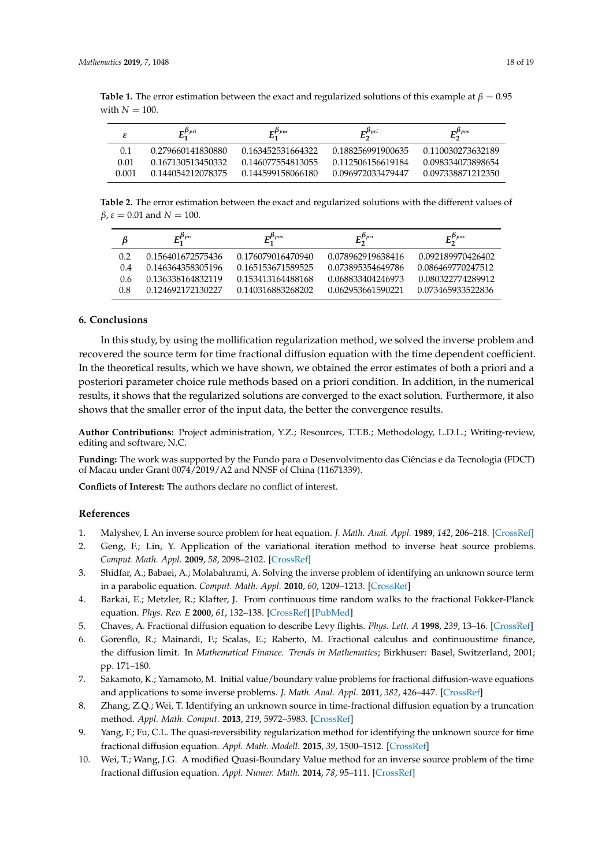<span id="page-17-10"></span>

| <b>Table 1.</b> The error estimation between the exact and regularized solutions of this example at $\beta = 0.95$ |  |
|--------------------------------------------------------------------------------------------------------------------|--|
| with $N = 100$ .                                                                                                   |  |

|       | $E_1^{\beta_{pri}}$ | $F^{\beta_{pos}}$ | $E_2^{\beta_{pri}}$ | $F^{p_{pos}}$     |
|-------|---------------------|-------------------|---------------------|-------------------|
| 0.1   | 0.279660141830880   | 0.163452531664322 | 0.188256991900635   | 0.110030273632189 |
| 0.01  | 0.167130513450332   | 0.146077554813055 | 0.112506156619184   | 0.098334073898654 |
| 0.001 | 0.144054212078375   | 0.144599158066180 | 0.096972033479447   | 0.097338871212350 |

<span id="page-17-11"></span>**Table 2.** The error estimation between the exact and regularized solutions with the different values of *β*,  $ε = 0.01$  and  $N = 100$ .

| ß   | $E_1^{\beta_{pri}}$ | $E_1^{\beta_{pos}}$ | $E_2^{\beta_{pri}}$ | $E_2^{\beta_{pos}}$ |
|-----|---------------------|---------------------|---------------------|---------------------|
| 0.2 | 0.156401672575436   | 0.176079016470940   | 0.078962919638416   | 0.092189970426402   |
| 0.4 | 0.146364358305196   | 0.165153671589525   | 0.073895354649786   | 0.086469770247512   |
| 0.6 | 0.136338164832119   | 0.153413164488168   | 0.068833404246973   | 0.080322774289912   |
| 0.8 | 0.124692172130227   | 0.140316883268202   | 0.062953661590221   | 0.073465933522836   |

## <span id="page-17-9"></span>**6. Conclusions**

In this study, by using the mollification regularization method, we solved the inverse problem and recovered the source term for time fractional diffusion equation with the time dependent coefficient. In the theoretical results, which we have shown, we obtained the error estimates of both a priori and a posteriori parameter choice rule methods based on a priori condition. In addition, in the numerical results, it shows that the regularized solutions are converged to the exact solution. Furthermore, it also shows that the smaller error of the input data, the better the convergence results.

**Author Contributions:** Project administration, Y.Z.; Resources, T.T.B.; Methodology, L.D.L.; Writing-review, editing and software, N.C.

**Funding:** The work was supported by the Fundo para o Desenvolvimento das Ciências e da Tecnologia (FDCT) of Macau under Grant 0074/2019/A2 and NNSF of China (11671339).

**Conflicts of Interest:** The authors declare no conflict of interest.

#### **References**

- <span id="page-17-0"></span>1. Malyshev, I. An inverse source problem for heat equation. *J. Math. Anal. Appl.* **1989**, *142*, 206–218. [\[CrossRef\]](http://dx.doi.org/10.1016/0022-247X(89)90175-3)
- <span id="page-17-1"></span>2. Geng, F.; Lin, Y. Application of the variational iteration method to inverse heat source problems. *Comput. Math. Appl.* **2009**, *58*, 2098–2102. [\[CrossRef\]](http://dx.doi.org/10.1016/j.camwa.2009.03.002)
- <span id="page-17-2"></span>3. Shidfar, A.; Babaei, A.; Molabahrami, A. Solving the inverse problem of identifying an unknown source term in a parabolic equation. *Comput. Math. Appl.* **2010**, *60*, 1209–1213. [\[CrossRef\]](http://dx.doi.org/10.1016/j.camwa.2010.06.002)
- <span id="page-17-3"></span>4. Barkai, E.; Metzler, R.; Klafter, J. From continuous time random walks to the fractional Fokker-Planck equation. *Phys. Rev. E* **2000**, *61*, 132–138. [\[CrossRef\]](http://dx.doi.org/10.1103/PhysRevE.61.132) [\[PubMed\]](http://www.ncbi.nlm.nih.gov/pubmed/11046248)
- 5. Chaves, A. Fractional diffusion equation to describe Levy flights. *Phys. Lett. A* **1998**, *239*, 13–16. [\[CrossRef\]](http://dx.doi.org/10.1016/S0375-9601(97)00947-X)
- <span id="page-17-4"></span>6. Gorenflo, R.; Mainardi, F.; Scalas, E.; Raberto, M. Fractional calculus and continuoustime finance, the diffusion limit. In *Mathematical Finance. Trends in Mathematics*; Birkhuser: Basel, Switzerland, 2001; pp. 171–180.
- <span id="page-17-5"></span>7. Sakamoto, K.; Yamamoto, M. Initial value/boundary value problems for fractional diffusion-wave equations and applications to some inverse problems. *J. Math. Anal. Appl.* **2011**, *382*, 426–447. [\[CrossRef\]](http://dx.doi.org/10.1016/j.jmaa.2011.04.058)
- <span id="page-17-6"></span>8. Zhang, Z.Q.; Wei, T. Identifying an unknown source in time-fractional diffusion equation by a truncation method. *Appl. Math. Comput.* **2013**, *219*, 5972–5983. [\[CrossRef\]](http://dx.doi.org/10.1016/j.amc.2012.12.024)
- <span id="page-17-7"></span>9. Yang, F.; Fu, C.L. The quasi-reversibility regularization method for identifying the unknown source for time fractional diffusion equation. *Appl. Math. Modell.* **2015**, *39*, 1500–1512. [\[CrossRef\]](http://dx.doi.org/10.1016/j.apm.2014.08.010)
- <span id="page-17-8"></span>10. Wei, T.; Wang, J.G. A modified Quasi-Boundary Value method for an inverse source problem of the time fractional diffusion equation. *Appl. Numer. Math.* **2014**, *78*, 95–111. [\[CrossRef\]](http://dx.doi.org/10.1016/j.apnum.2013.12.002)